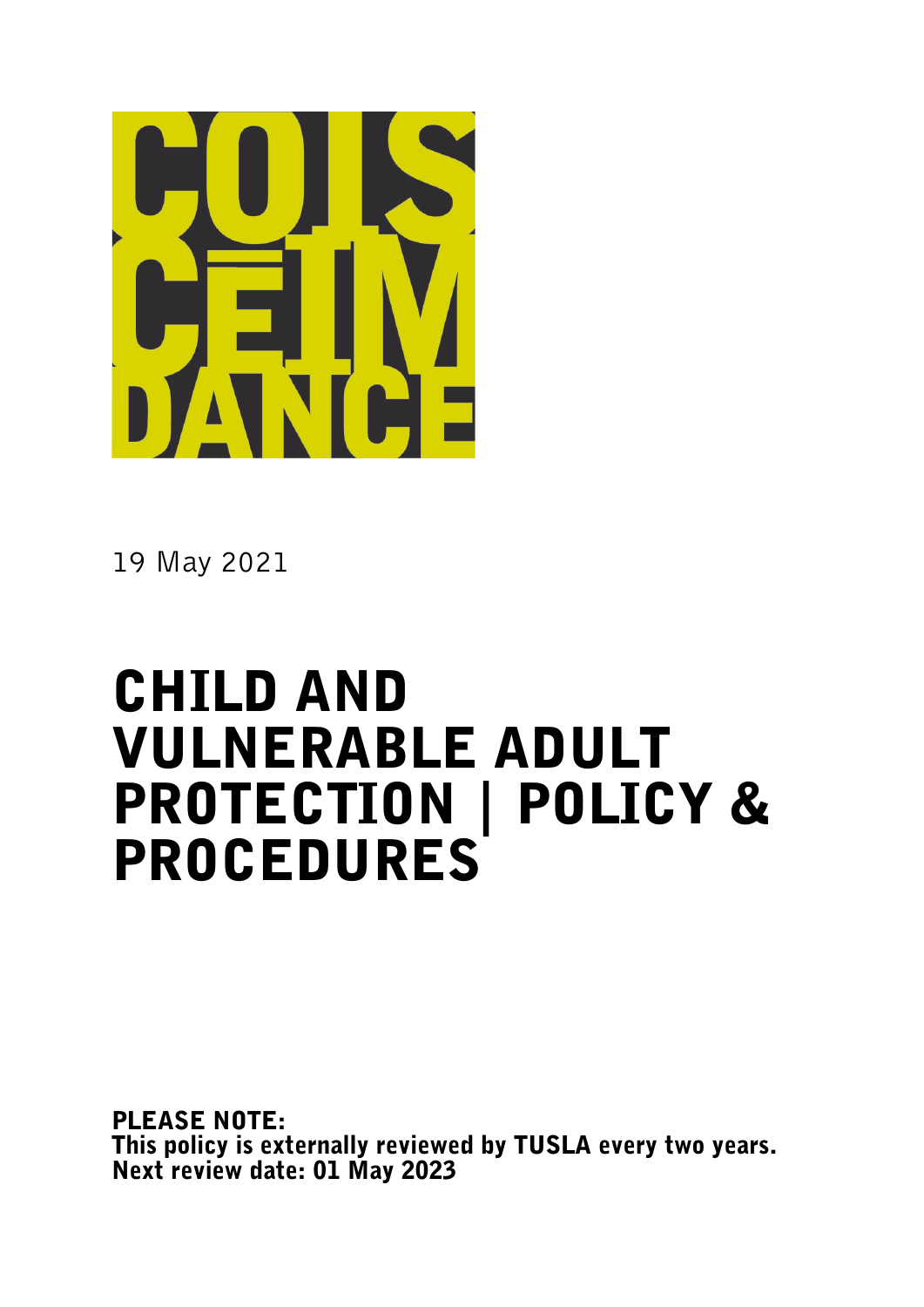

19 May 2021

# CHILD AND VULNERABLE ADULT PROTECTION | POLICY & PROCEDURES

PLEASE NOTE: This policy is externally reviewed by TUSLA every two years. Next review date: 01 May <sup>2023</sup>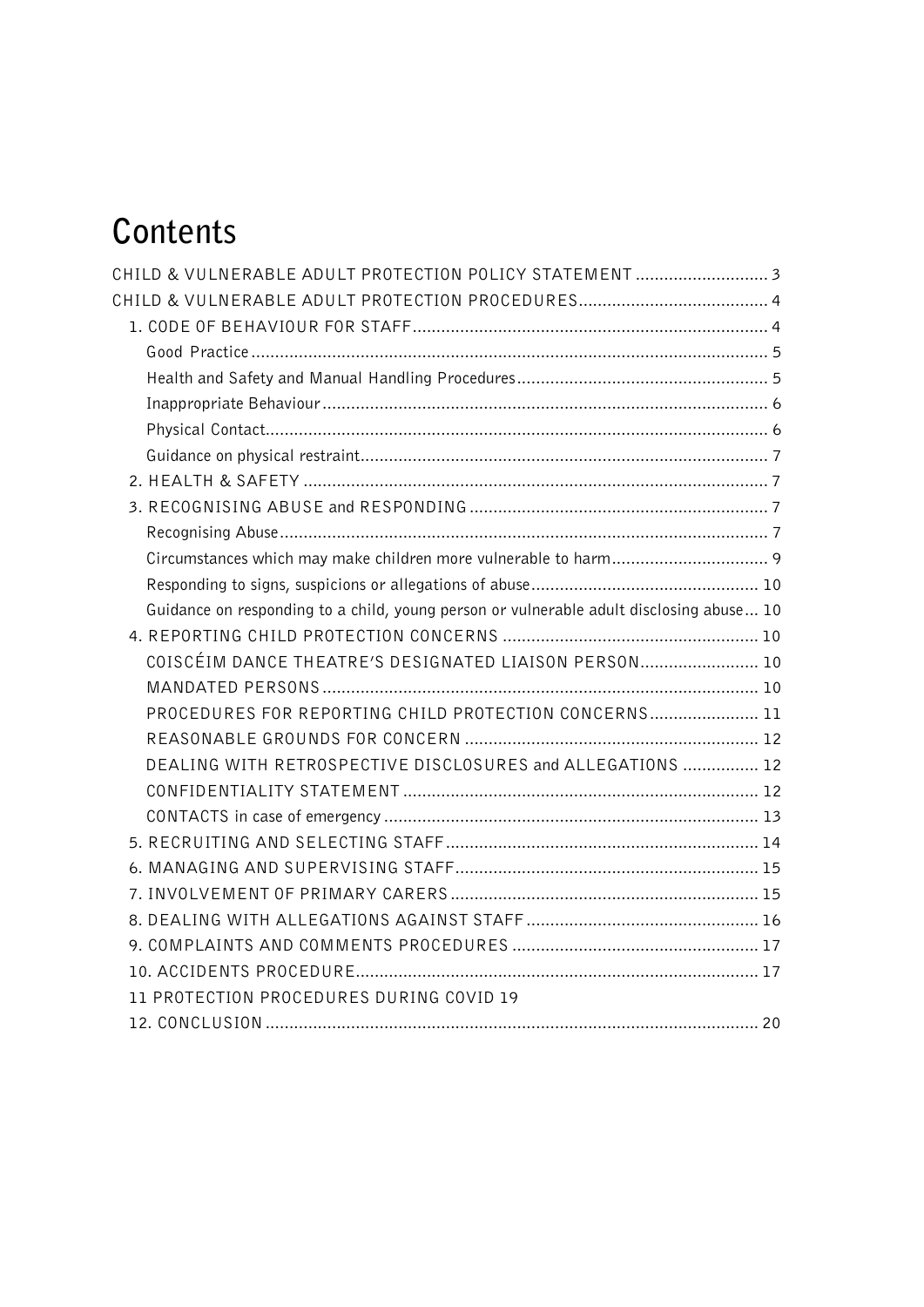# **Contents**

| CHILD & VULNERABLE ADULT PROTECTION POLICY STATEMENT  3                                 |  |
|-----------------------------------------------------------------------------------------|--|
|                                                                                         |  |
|                                                                                         |  |
|                                                                                         |  |
|                                                                                         |  |
|                                                                                         |  |
|                                                                                         |  |
|                                                                                         |  |
|                                                                                         |  |
|                                                                                         |  |
|                                                                                         |  |
|                                                                                         |  |
|                                                                                         |  |
| Guidance on responding to a child, young person or vulnerable adult disclosing abuse 10 |  |
|                                                                                         |  |
| COISCÉIM DANCE THEATRE'S DESIGNATED LIAISON PERSON 10                                   |  |
|                                                                                         |  |
| PROCEDURES FOR REPORTING CHILD PROTECTION CONCERNS 11                                   |  |
|                                                                                         |  |
| DEALING WITH RETROSPECTIVE DISCLOSURES and ALLEGATIONS  12                              |  |
|                                                                                         |  |
|                                                                                         |  |
|                                                                                         |  |
|                                                                                         |  |
|                                                                                         |  |
|                                                                                         |  |
|                                                                                         |  |
|                                                                                         |  |
| 11 PROTECTION PROCEDURES DURING COVID 19                                                |  |
|                                                                                         |  |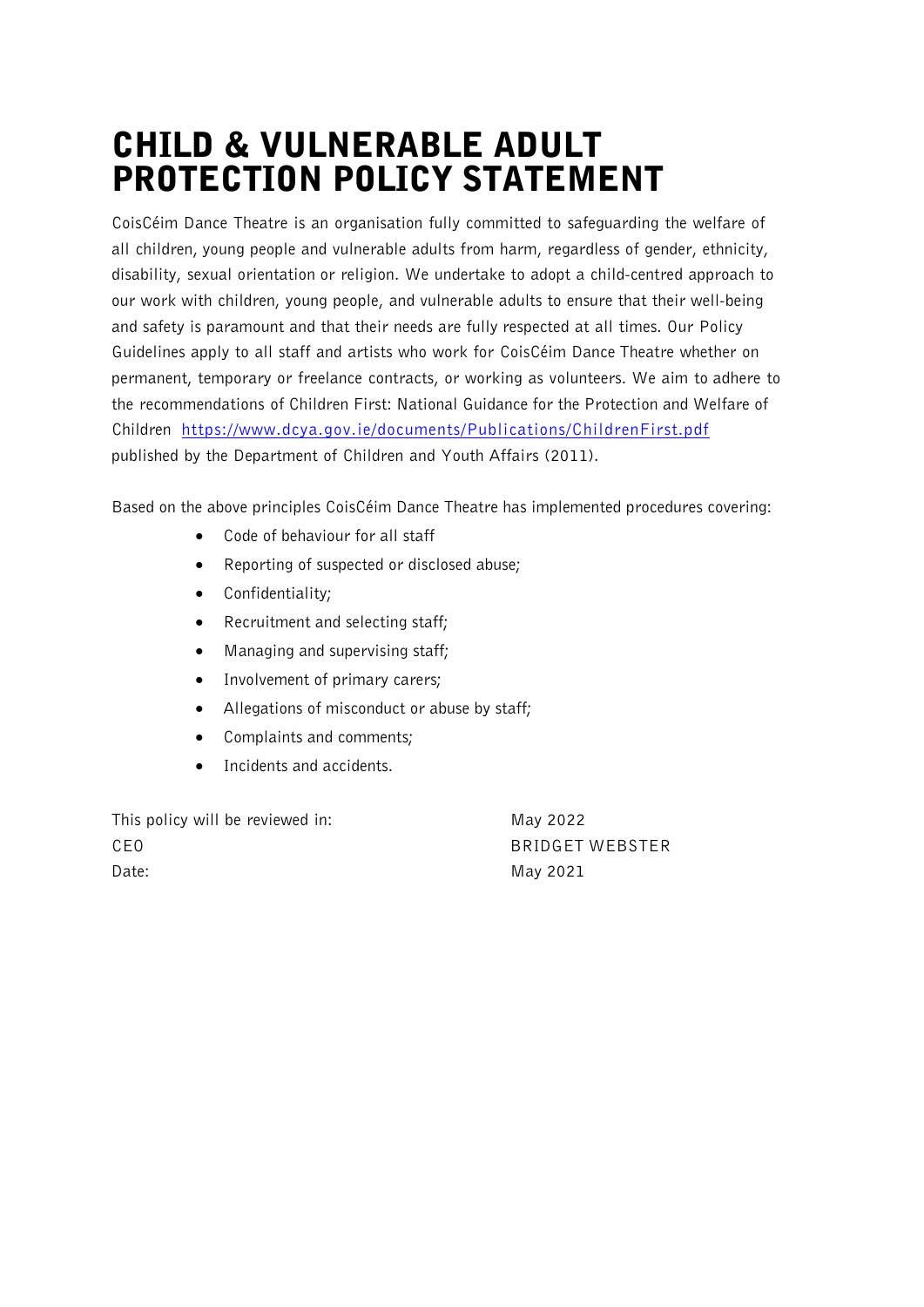## CHILD & VULNERABLE ADULT PROTECTION POLICY STATEMENT

CoisCéim Dance Theatre is an organisation fully committed to safeguarding the welfare of all children, young people and vulnerable adults from harm, regardless of gender, ethnicity, disability, sexual orientation or religion. We undertake to adopt a child-centred approach to our work with children, young people, and vulnerable adults to ensure that their well-being and safety is paramount and that their needs are fully respected at all times. Our Policy Guidelines apply to all staff and artists who work for CoisCéim Dance Theatre whether on permanent, temporary or freelance contracts, or working as volunteers. We aim to adhere to the recommendations of Children First: National Guidance for the Protection and Welfare of Children https://www.dcya.gov.ie/documents/Publications/ChildrenFirst.pdf published by the Department of Children and Youth Affairs (2011).

Based on the above principles CoisCéim Dance Theatre has implemented procedures covering:

- Code of behaviour for all staff
- Reporting of suspected or disclosed abuse;
- Confidentiality;
- Recruitment and selecting staff:
- Managing and supervising staff;
- Involvement of primary carers;
- Allegations of misconduct or abuse by staff;
- Complaints and comments;
- Incidents and accidents.

| This policy will be reviewed in: | May 2022        |
|----------------------------------|-----------------|
| CEO                              | BRIDGET WEBSTER |
| Date:                            | May 2021        |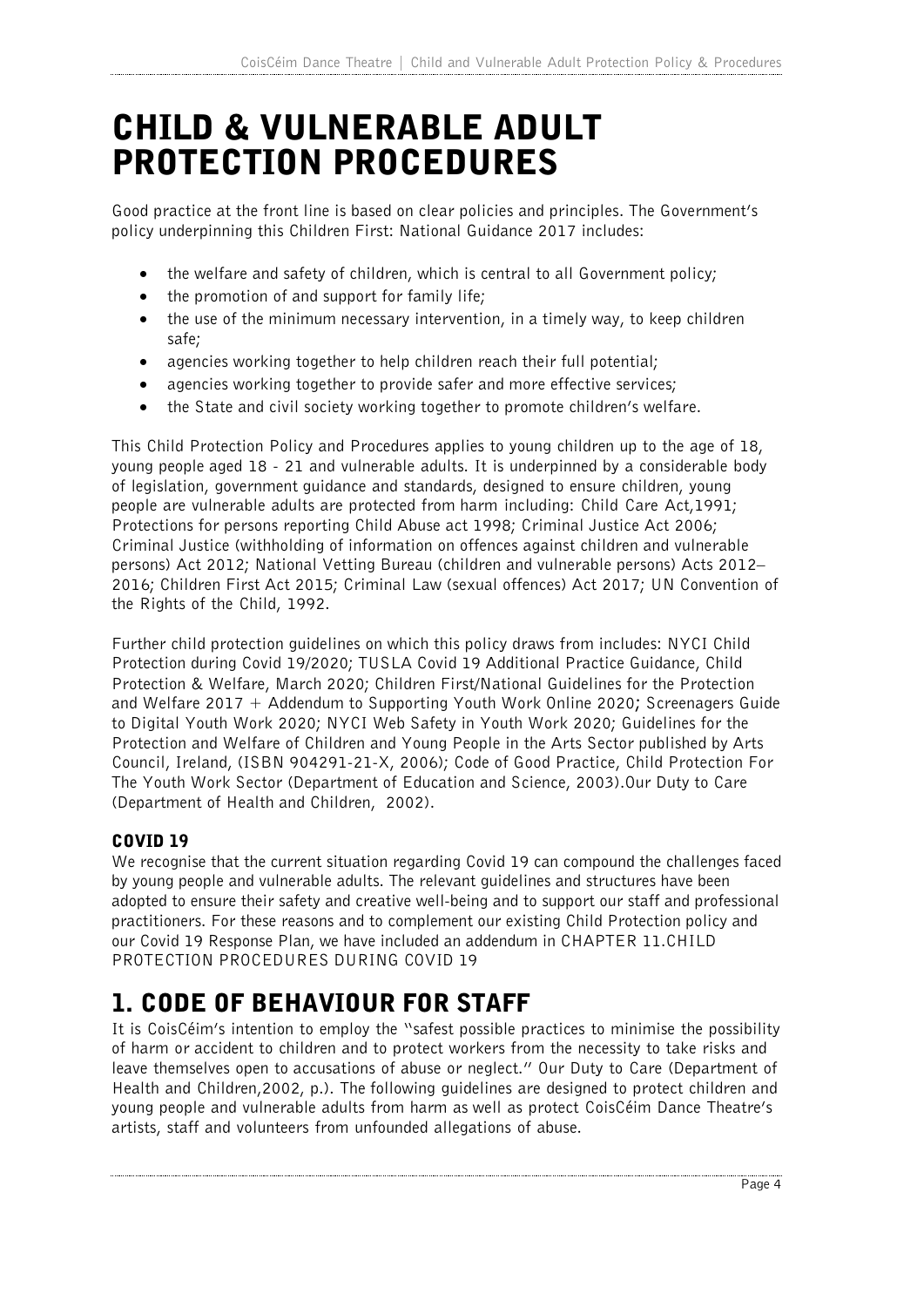# CHILD & VULNERABLE ADULT PROTECTION PROCEDURES

Good practice at the front line is based on clear policies and principles. The Government's policy underpinning this Children First: National Guidance 2017 includes:

- the welfare and safety of children, which is central to all Government policy;
- the promotion of and support for family life;
- the use of the minimum necessary intervention, in a timely way, to keep children safe;
- agencies working together to help children reach their full potential;
- agencies working together to provide safer and more effective services;
- the State and civil society working together to promote children's welfare.

This Child Protection Policy and Procedures applies to young children up to the age of 18, young people aged 18 - 21 and vulnerable adults. It is underpinned by a considerable body of legislation, government guidance and standards, designed to ensure children, young people are vulnerable adults are protected from harm including: Child Care Act,1991; Protections for persons reporting Child Abuse act 1998; Criminal Justice Act 2006; Criminal Justice (withholding of information on offences against children and vulnerable persons) Act 2012; National Vetting Bureau (children and vulnerable persons) Acts 2012– 2016; Children First Act 2015; Criminal Law (sexual offences) Act 2017; UN Convention of the Rights of the Child, 1992.

Further child protection guidelines on which this policy draws from includes: NYCI Child Protection during Covid 19/2020; TUSLA Covid 19 Additional Practice Guidance, Child Protection & Welfare, March 2020; Children First/National Guidelines for the Protection and Welfare 2017 + Addendum to Supporting Youth Work Online 2020**;** Screenagers Guide to Digital Youth Work 2020; NYCI Web Safety in Youth Work 2020; Guidelines for the Protection and Welfare of Children and Young People in the Arts Sector published by Arts Council, Ireland, (ISBN 904291-21-X, 2006); Code of Good Practice, Child Protection For The Youth Work Sector (Department of Education and Science, 2003).Our Duty to Care (Department of Health and Children, 2002).

#### COVID 19

We recognise that the current situation regarding Covid 19 can compound the challenges faced by young people and vulnerable adults. The relevant guidelines and structures have been adopted to ensure their safety and creative well-being and to support our staff and professional practitioners. For these reasons and to complement our existing Child Protection policy and our Covid 19 Response Plan, we have included an addendum in CHAPTER 11.CHILD PROTECTION PROCEDURES DURING COVID 19

### 1. CODE OF BEHAVIOUR FOR STAFF

It is CoisCéim's intention to employ the "safest possible practices to minimise the possibility of harm or accident to children and to protect workers from the necessity to take risks and leave themselves open to accusations of abuse or neglect." Our Duty to Care (Department of Health and Children,2002, p.). The following guidelines are designed to protect children and young people and vulnerable adults from harm as well as protect CoisCéim Dance Theatre's artists, staff and volunteers from unfounded allegations of abuse.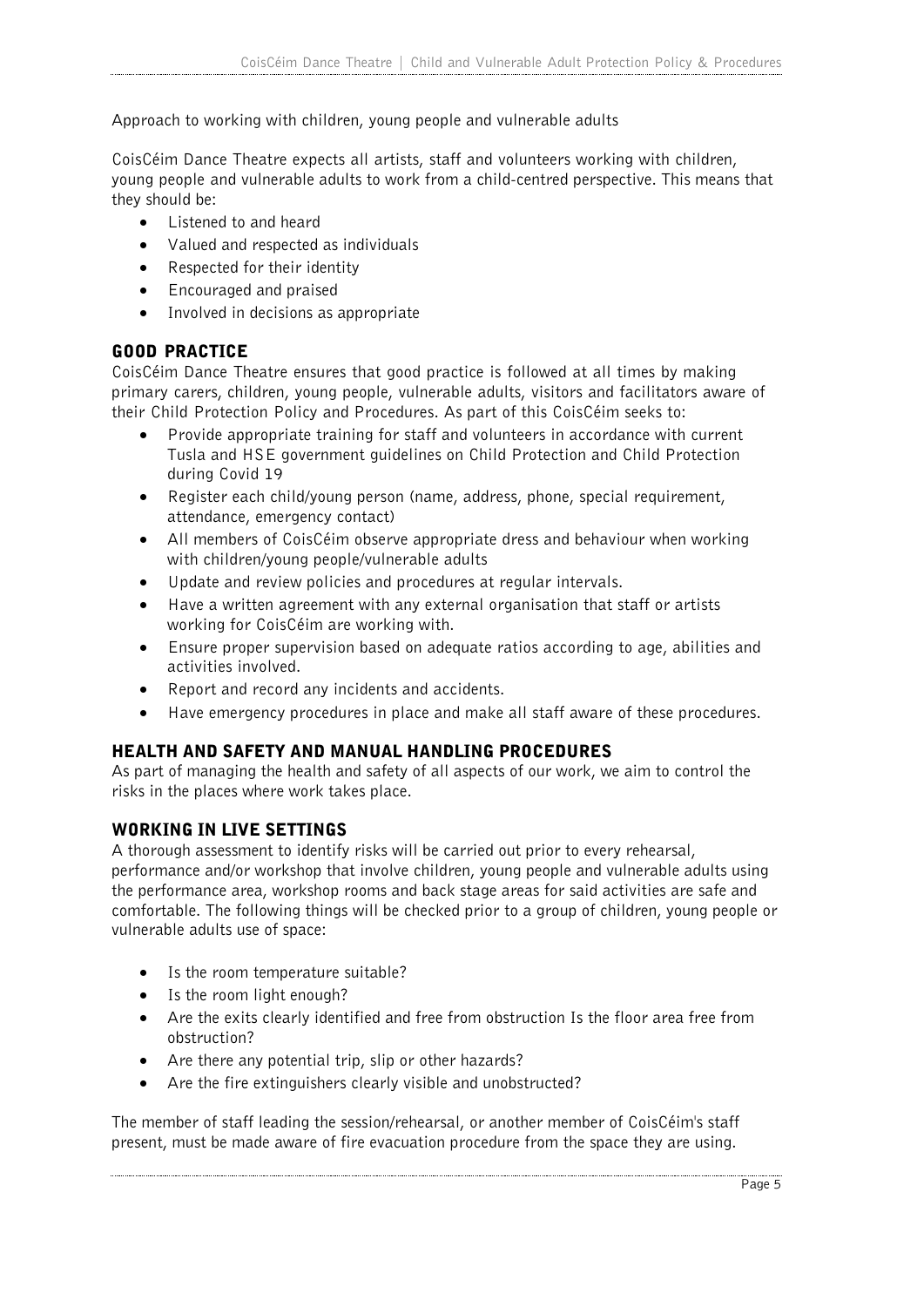Approach to working with children, young people and vulnerable adults

CoisCéim Dance Theatre expects all artists, staff and volunteers working with children, young people and vulnerable adults to work from a child-centred perspective. This means that they should be:

- Listened to and heard
- Valued and respected as individuals
- Respected for their identity
- Encouraged and praised
- Involved in decisions as appropriate

#### GOOD PRACTICE

CoisCéim Dance Theatre ensures that good practice is followed at all times by making primary carers, children, young people, vulnerable adults, visitors and facilitators aware of their Child Protection Policy and Procedures. As part of this CoisCéim seeks to:

- Provide appropriate training for staff and volunteers in accordance with current Tusla and HSE government guidelines on Child Protection and Child Protection during Covid 19
- Register each child/young person (name, address, phone, special requirement, attendance, emergency contact)
- All members of CoisCéim observe appropriate dress and behaviour when working with children/young people/vulnerable adults
- Update and review policies and procedures at regular intervals.
- Have a written agreement with any external organisation that staff or artists working for CoisCéim are working with.
- Ensure proper supervision based on adequate ratios according to age, abilities and activities involved.
- Report and record any incidents and accidents.
- Have emergency procedures in place and make all staff aware of these procedures.

#### HEALTH AND SAFETY AND MANUAL HANDLING PROCEDURES

As part of managing the health and safety of all aspects of our work, we aim to control the risks in the places where work takes place.

#### WORKING IN LIVE SETTINGS

A thorough assessment to identify risks will be carried out prior to every rehearsal, performance and/or workshop that involve children, young people and vulnerable adults using the performance area, workshop rooms and back stage areas for said activities are safe and comfortable. The following things will be checked prior to a group of children, young people or vulnerable adults use of space:

- Is the room temperature suitable?
- Is the room light enough?
- Are the exits clearly identified and free from obstruction Is the floor area free from obstruction?
- Are there any potential trip, slip or other hazards?
- Are the fire extinguishers clearly visible and unobstructed?

The member of staff leading the session/rehearsal, or another member of CoisCéim's staff present, must be made aware of fire evacuation procedure from the space they are using.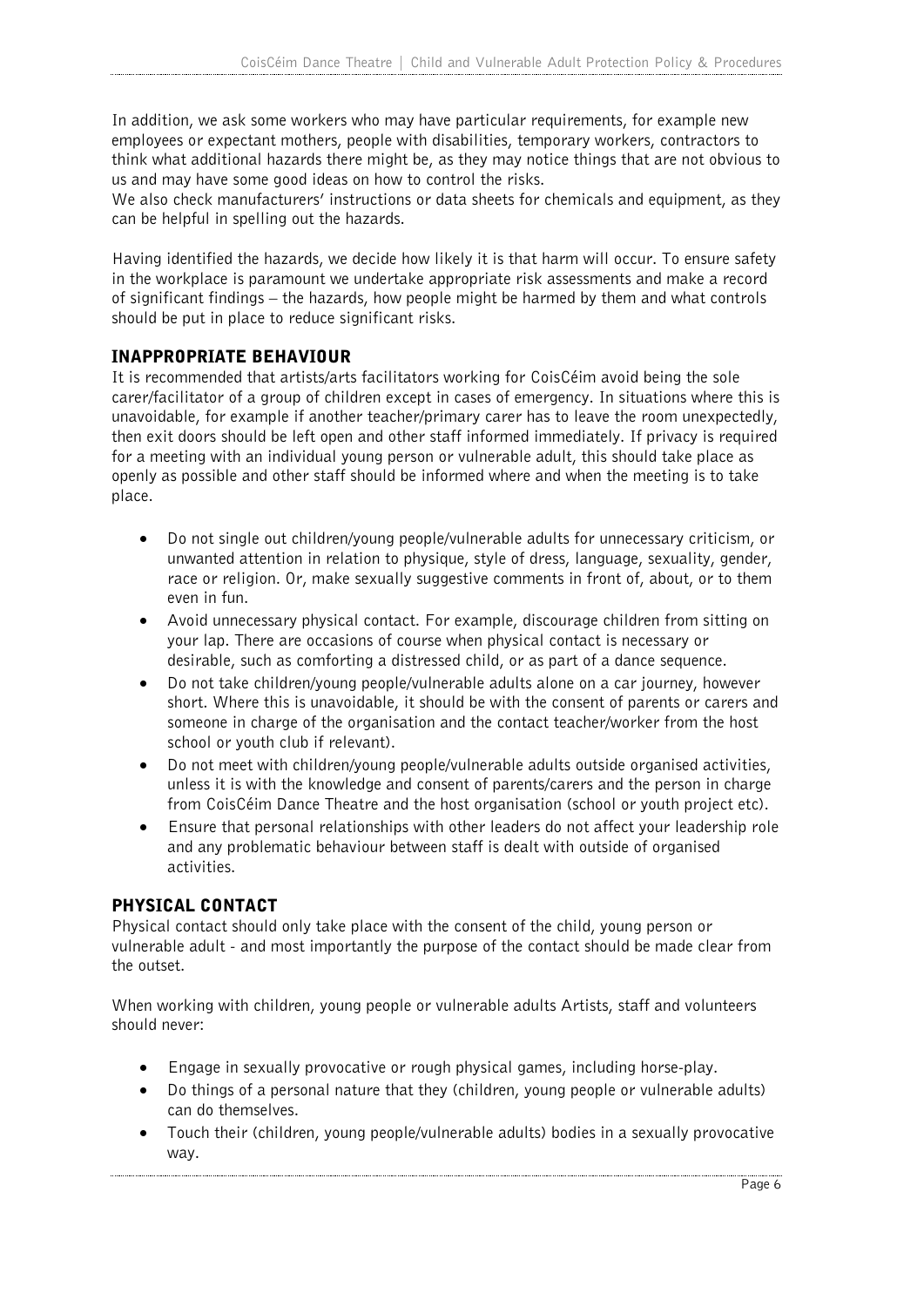In addition, we ask some workers who may have particular requirements, for example new employees or expectant mothers, people with disabilities, temporary workers, contractors to think what additional hazards there might be, as they may notice things that are not obvious to us and may have some good ideas on how to control the risks.

We also check manufacturers' instructions or data sheets for chemicals and equipment, as they can be helpful in spelling out the hazards.

Having identified the hazards, we decide how likely it is that harm will occur. To ensure safety in the workplace is paramount we undertake appropriate risk assessments and make a record of significant findings – the hazards, how people might be harmed by them and what controls should be put in place to reduce significant risks.

#### INAPPROPRIATE BEHAVIOUR

It is recommended that artists/arts facilitators working for CoisCéim avoid being the sole carer/facilitator of a group of children except in cases of emergency. In situations where this is unavoidable, for example if another teacher/primary carer has to leave the room unexpectedly, then exit doors should be left open and other staff informed immediately. If privacy is required for a meeting with an individual young person or vulnerable adult, this should take place as openly as possible and other staff should be informed where and when the meeting is to take place.

- Do not single out children/young people/vulnerable adults for unnecessary criticism, or unwanted attention in relation to physique, style of dress, language, sexuality, gender, race or religion. Or, make sexually suggestive comments in front of, about, or to them even in fun.
- Avoid unnecessary physical contact. For example, discourage children from sitting on your lap. There are occasions of course when physical contact is necessary or desirable, such as comforting a distressed child, or as part of a dance sequence.
- Do not take children/young people/vulnerable adults alone on a car journey, however short. Where this is unavoidable, it should be with the consent of parents or carers and someone in charge of the organisation and the contact teacher/worker from the host school or youth club if relevant).
- Do not meet with children/young people/vulnerable adults outside organised activities, unless it is with the knowledge and consent of parents/carers and the person in charge from CoisCéim Dance Theatre and the host organisation (school or youth project etc).
- Ensure that personal relationships with other leaders do not affect your leadership role and any problematic behaviour between staff is dealt with outside of organised activities.

#### PHYSICAL CONTACT

Physical contact should only take place with the consent of the child, young person or vulnerable adult - and most importantly the purpose of the contact should be made clear from the outset.

When working with children, young people or vulnerable adults Artists, staff and volunteers should never:

- Engage in sexually provocative or rough physical games, including horse-play.
- Do things of a personal nature that they (children, young people or vulnerable adults) can do themselves.
- Touch their (children, young people/vulnerable adults) bodies in a sexually provocative way.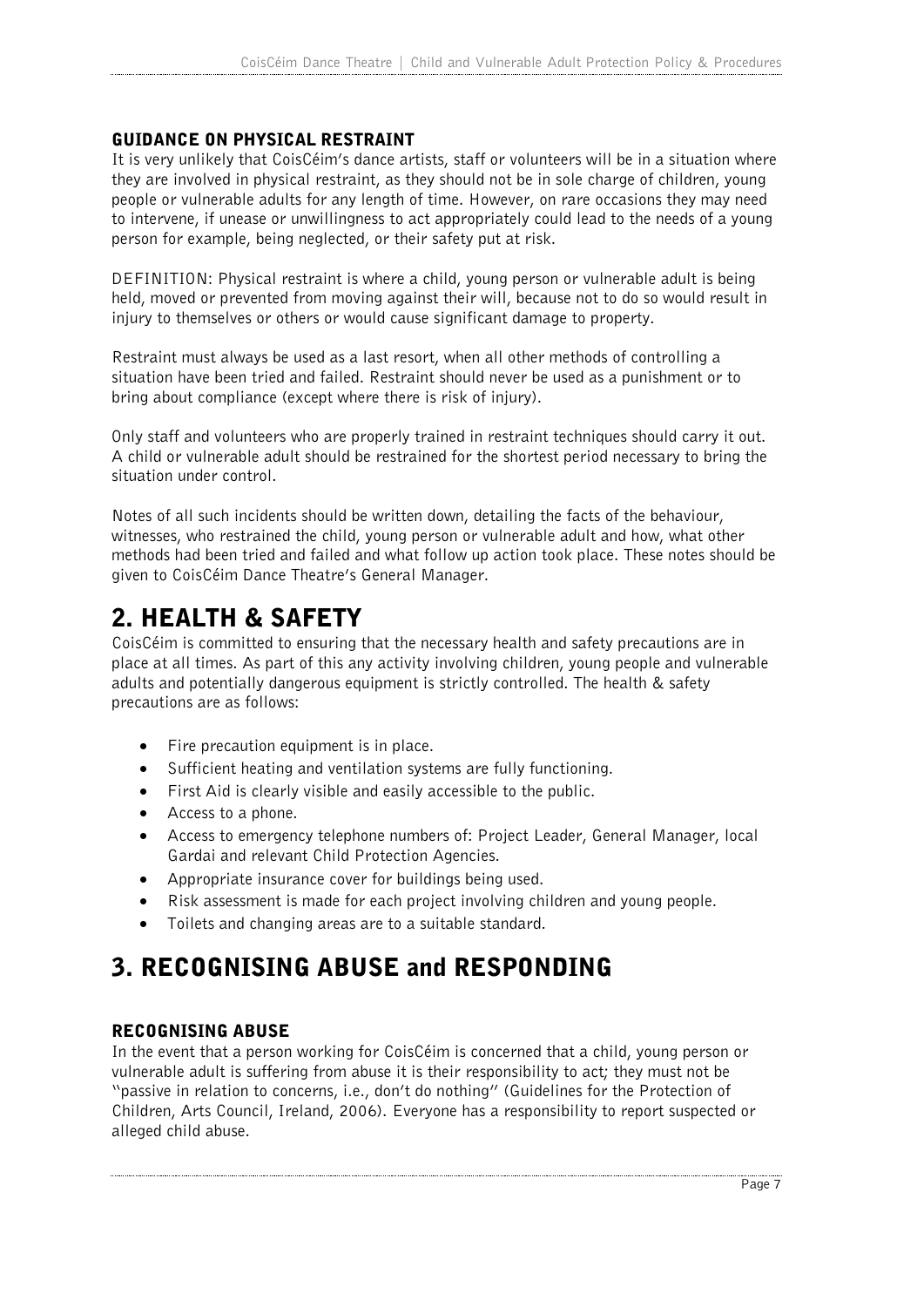#### GUIDANCE ON PHYSICAL RESTRAINT

It is very unlikely that CoisCéim's dance artists, staff or volunteers will be in a situation where they are involved in physical restraint, as they should not be in sole charge of children, young people or vulnerable adults for any length of time. However, on rare occasions they may need to intervene, if unease or unwillingness to act appropriately could lead to the needs of a young person for example, being neglected, or their safety put at risk.

DEFINITION: Physical restraint is where a child, young person or vulnerable adult is being held, moved or prevented from moving against their will, because not to do so would result in injury to themselves or others or would cause significant damage to property.

Restraint must always be used as a last resort, when all other methods of controlling a situation have been tried and failed. Restraint should never be used as a punishment or to bring about compliance (except where there is risk of injury).

Only staff and volunteers who are properly trained in restraint techniques should carry it out. A child or vulnerable adult should be restrained for the shortest period necessary to bring the situation under control.

Notes of all such incidents should be written down, detailing the facts of the behaviour, witnesses, who restrained the child, young person or vulnerable adult and how, what other methods had been tried and failed and what follow up action took place. These notes should be given to CoisCéim Dance Theatre's General Manager.

### 2. HEALTH & SAFETY

CoisCéim is committed to ensuring that the necessary health and safety precautions are in place at all times. As part of this any activity involving children, young people and vulnerable adults and potentially dangerous equipment is strictly controlled. The health & safety precautions are as follows:

- Fire precaution equipment is in place.
- Sufficient heating and ventilation systems are fully functioning.
- First Aid is clearly visible and easily accessible to the public.
- Access to a phone.
- Access to emergency telephone numbers of: Project Leader, General Manager, local Gardai and relevant Child Protection Agencies.
- Appropriate insurance cover for buildings being used.
- Risk assessment is made for each project involving children and young people.
- Toilets and changing areas are to a suitable standard.

### 3. RECOGNISING ABUSE and RESPONDING

#### RECOGNISING ABUSE

In the event that a person working for CoisCéim is concerned that a child, young person or vulnerable adult is suffering from abuse it is their responsibility to act; they must not be "passive in relation to concerns, i.e., don't do nothing" (Guidelines for the Protection of Children, Arts Council, Ireland, 2006). Everyone has a responsibility to report suspected or alleged child abuse.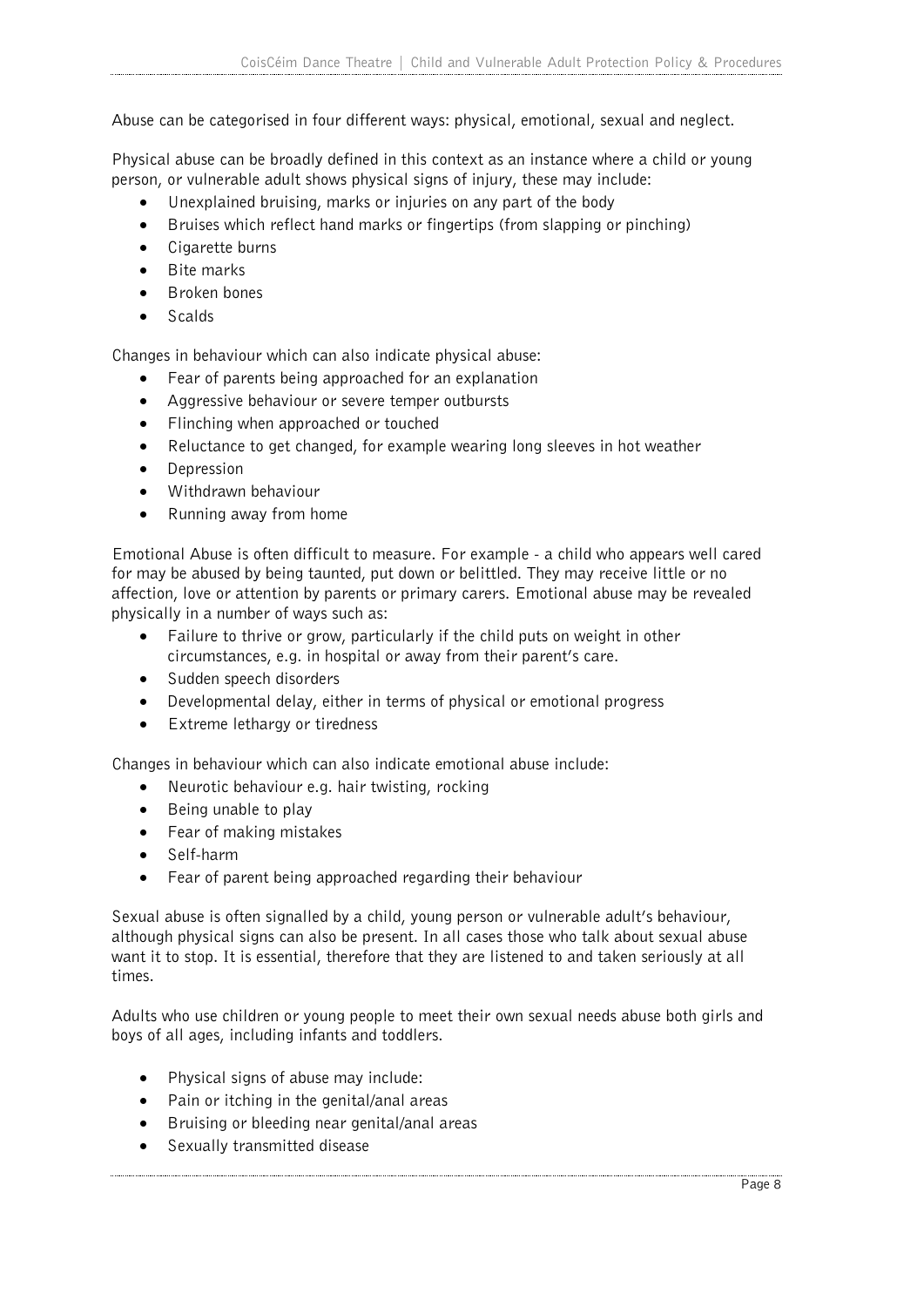Abuse can be categorised in four different ways: physical, emotional, sexual and neglect.

Physical abuse can be broadly defined in this context as an instance where a child or young person, or vulnerable adult shows physical signs of injury, these may include:

- Unexplained bruising, marks or injuries on any part of the body
- Bruises which reflect hand marks or fingertips (from slapping or pinching)
- Cigarette burns
- Bite marks
- Broken bones
- Scalds

Changes in behaviour which can also indicate physical abuse:

- Fear of parents being approached for an explanation
- Aggressive behaviour or severe temper outbursts
- Flinching when approached or touched
- Reluctance to get changed, for example wearing long sleeves in hot weather
- Depression
- Withdrawn behaviour
- Running away from home

Emotional Abuse is often difficult to measure. For example - a child who appears well cared for may be abused by being taunted, put down or belittled. They may receive little or no affection, love or attention by parents or primary carers. Emotional abuse may be revealed physically in a number of ways such as:

- Failure to thrive or grow, particularly if the child puts on weight in other circumstances, e.g. in hospital or away from their parent's care.
- Sudden speech disorders
- Developmental delay, either in terms of physical or emotional progress
- Extreme lethargy or tiredness

Changes in behaviour which can also indicate emotional abuse include:

- Neurotic behaviour e.g. hair twisting, rocking
- Being unable to play
- Fear of making mistakes
- Self-harm
- Fear of parent being approached regarding their behaviour

Sexual abuse is often signalled by a child, young person or vulnerable adult's behaviour, although physical signs can also be present. In all cases those who talk about sexual abuse want it to stop. It is essential, therefore that they are listened to and taken seriously at all times.

Adults who use children or young people to meet their own sexual needs abuse both girls and boys of all ages, including infants and toddlers.

- Physical signs of abuse may include:
- Pain or itching in the genital/anal areas
- Bruising or bleeding near genital/anal areas
- Sexually transmitted disease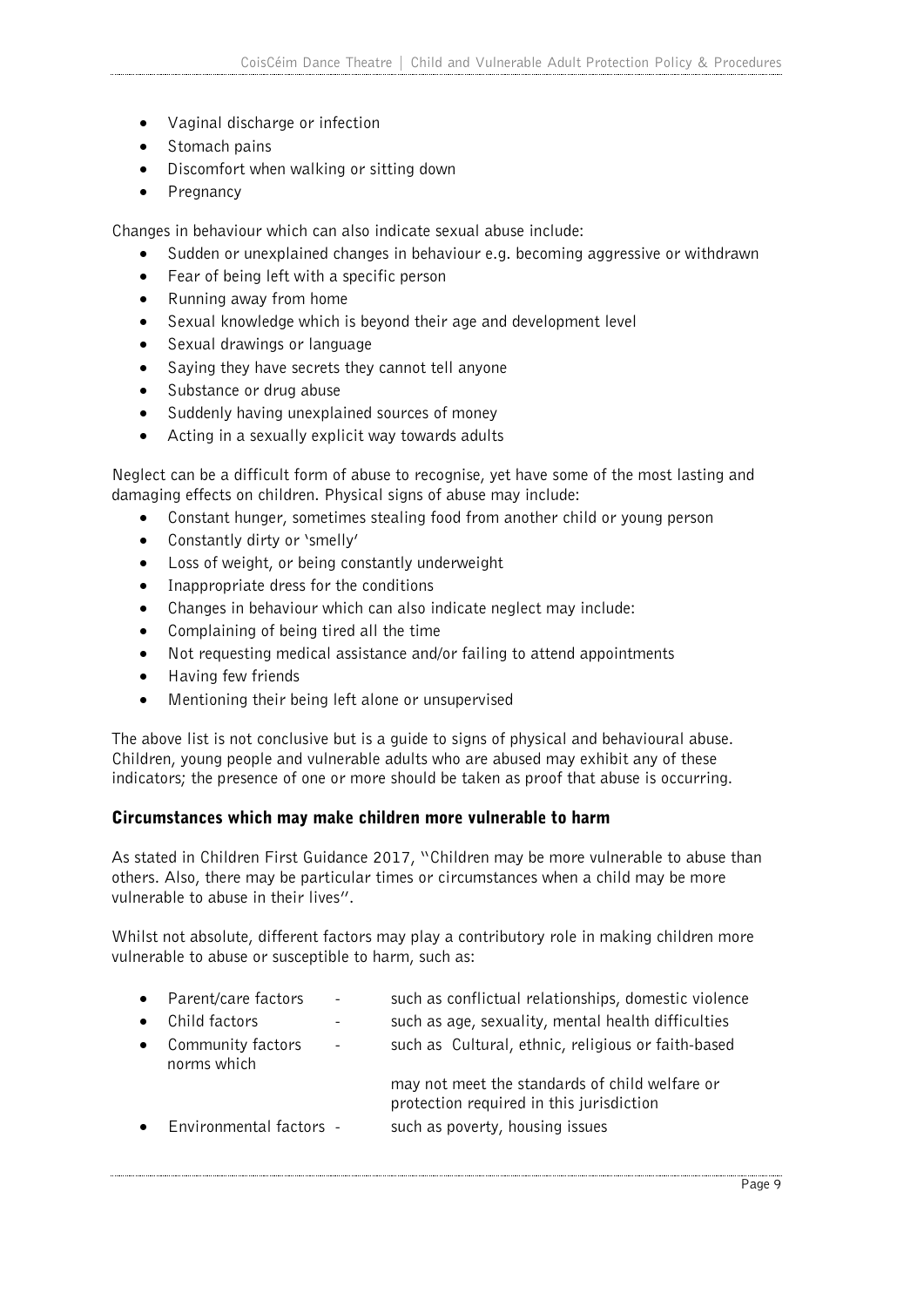- Vaginal discharge or infection
- Stomach pains
- Discomfort when walking or sitting down
- Pregnancy

Changes in behaviour which can also indicate sexual abuse include:

- Sudden or unexplained changes in behaviour e.g. becoming aggressive or withdrawn
- Fear of being left with a specific person
- Running away from home
- Sexual knowledge which is beyond their age and development level
- Sexual drawings or language
- Saying they have secrets they cannot tell anyone
- Substance or drug abuse
- Suddenly having unexplained sources of money
- Acting in a sexually explicit way towards adults

Neglect can be a difficult form of abuse to recognise, yet have some of the most lasting and damaging effects on children. Physical signs of abuse may include:

- Constant hunger, sometimes stealing food from another child or young person
- Constantly dirty or 'smelly'
- Loss of weight, or being constantly underweight
- Inappropriate dress for the conditions
- Changes in behaviour which can also indicate neglect may include:
- Complaining of being tired all the time
- Not requesting medical assistance and/or failing to attend appointments
- Having few friends
- Mentioning their being left alone or unsupervised

The above list is not conclusive but is a guide to signs of physical and behavioural abuse. Children, young people and vulnerable adults who are abused may exhibit any of these indicators; the presence of one or more should be taken as proof that abuse is occurring.

#### Circumstances which may make children more vulnerable to harm

As stated in Children First Guidance 2017, "Children may be more vulnerable to abuse than others. Also, there may be particular times or circumstances when a child may be more vulnerable to abuse in their lives".

Whilst not absolute, different factors may play a contributory role in making children more vulnerable to abuse or susceptible to harm, such as:

| $\bullet$ | Parent/care factors              | $\sim$                   | such as conflictual relationships, domestic violence                                       |
|-----------|----------------------------------|--------------------------|--------------------------------------------------------------------------------------------|
|           | Child factors                    |                          | such as age, sexuality, mental health difficulties                                         |
| $\bullet$ | Community factors<br>norms which | $\overline{\phantom{a}}$ | such as Cultural, ethnic, religious or faith-based                                         |
|           |                                  |                          | may not meet the standards of child welfare or<br>protection required in this jurisdiction |
|           | Environmental factors -          |                          | such as poverty, housing issues                                                            |
|           |                                  |                          |                                                                                            |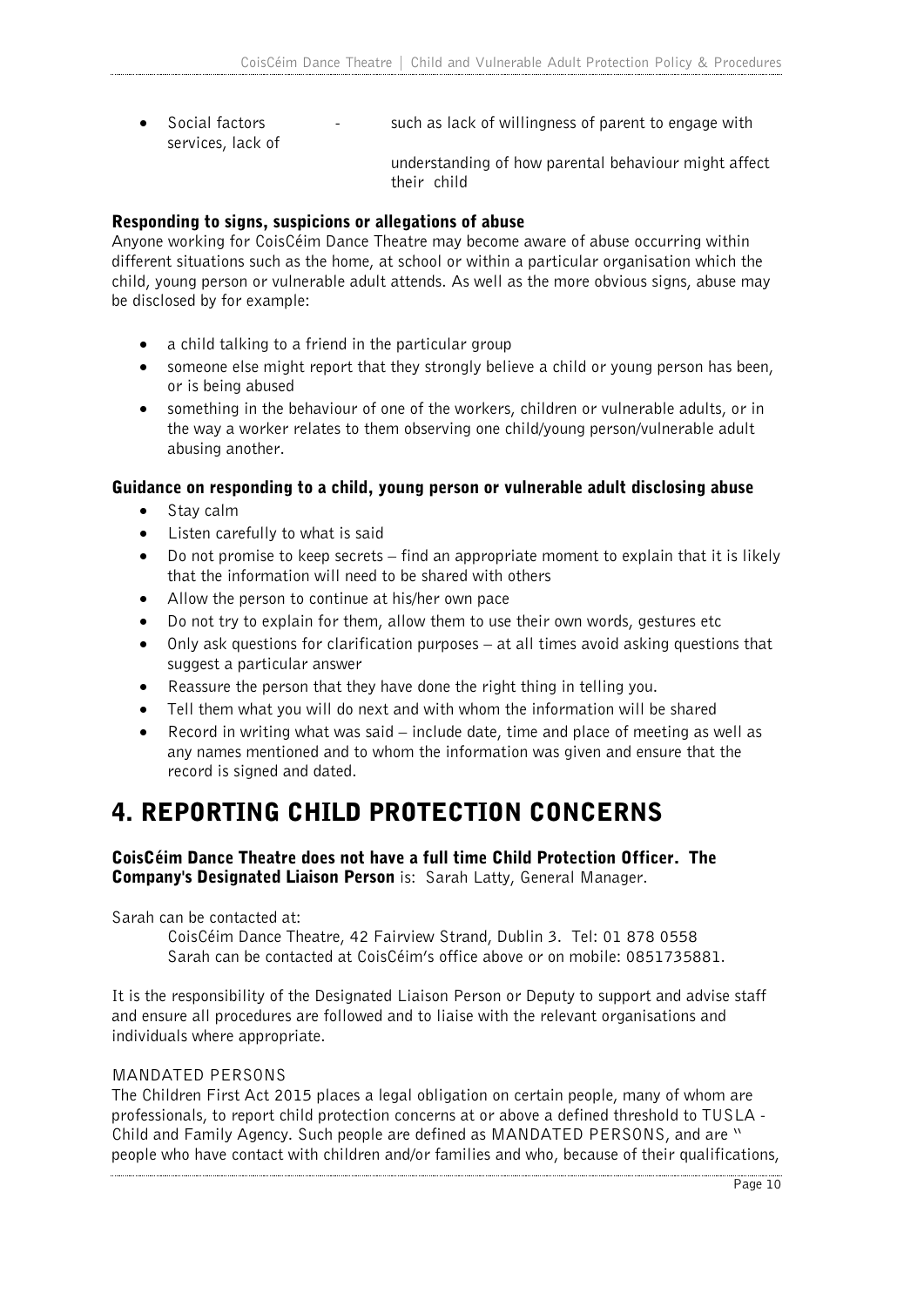• Social factors  $\cdot$  such as lack of willingness of parent to engage with services, lack of understanding of how parental behaviour might affect

#### Responding to signs, suspicions or allegations of abuse

Anyone working for CoisCéim Dance Theatre may become aware of abuse occurring within different situations such as the home, at school or within a particular organisation which the child, young person or vulnerable adult attends. As well as the more obvious signs, abuse may be disclosed by for example:

their child

- a child talking to a friend in the particular group
- someone else might report that they strongly believe a child or young person has been, or is being abused
- something in the behaviour of one of the workers, children or vulnerable adults, or in the way a worker relates to them observing one child/young person/vulnerable adult abusing another.

#### Guidance on responding to a child, young person or vulnerable adult disclosing abuse

- Stay calm
- Listen carefully to what is said
- Do not promise to keep secrets find an appropriate moment to explain that it is likely that the information will need to be shared with others
- Allow the person to continue at his/her own pace
- Do not try to explain for them, allow them to use their own words, gestures etc
- Only ask questions for clarification purposes at all times avoid asking questions that suggest a particular answer
- Reassure the person that they have done the right thing in telling you.
- Tell them what you will do next and with whom the information will be shared
- Record in writing what was said  $-$  include date, time and place of meeting as well as any names mentioned and to whom the information was given and ensure that the record is signed and dated.

### 4. REPORTING CHILD PROTECTION CONCERNS

#### CoisCéim Dance Theatre does not have a full time Child Protection Officer. The Company's Designated Liaison Person is: Sarah Latty, General Manager.

Sarah can be contacted at:

CoisCéim Dance Theatre, 42 Fairview Strand, Dublin 3. Tel: 01 878 0558 Sarah can be contacted at CoisCéim's office above or on mobile: 0851735881.

It is the responsibility of the Designated Liaison Person or Deputy to support and advise staff and ensure all procedures are followed and to liaise with the relevant organisations and individuals where appropriate.

#### MANDATED PERSONS

The Children First Act 2015 places a legal obligation on certain people, many of whom are professionals, to report child protection concerns at or above a defined threshold to TUSLA - Child and Family Agency. Such people are defined as MANDATED PERSONS, and are " people who have contact with children and/or families and who, because of their qualifications,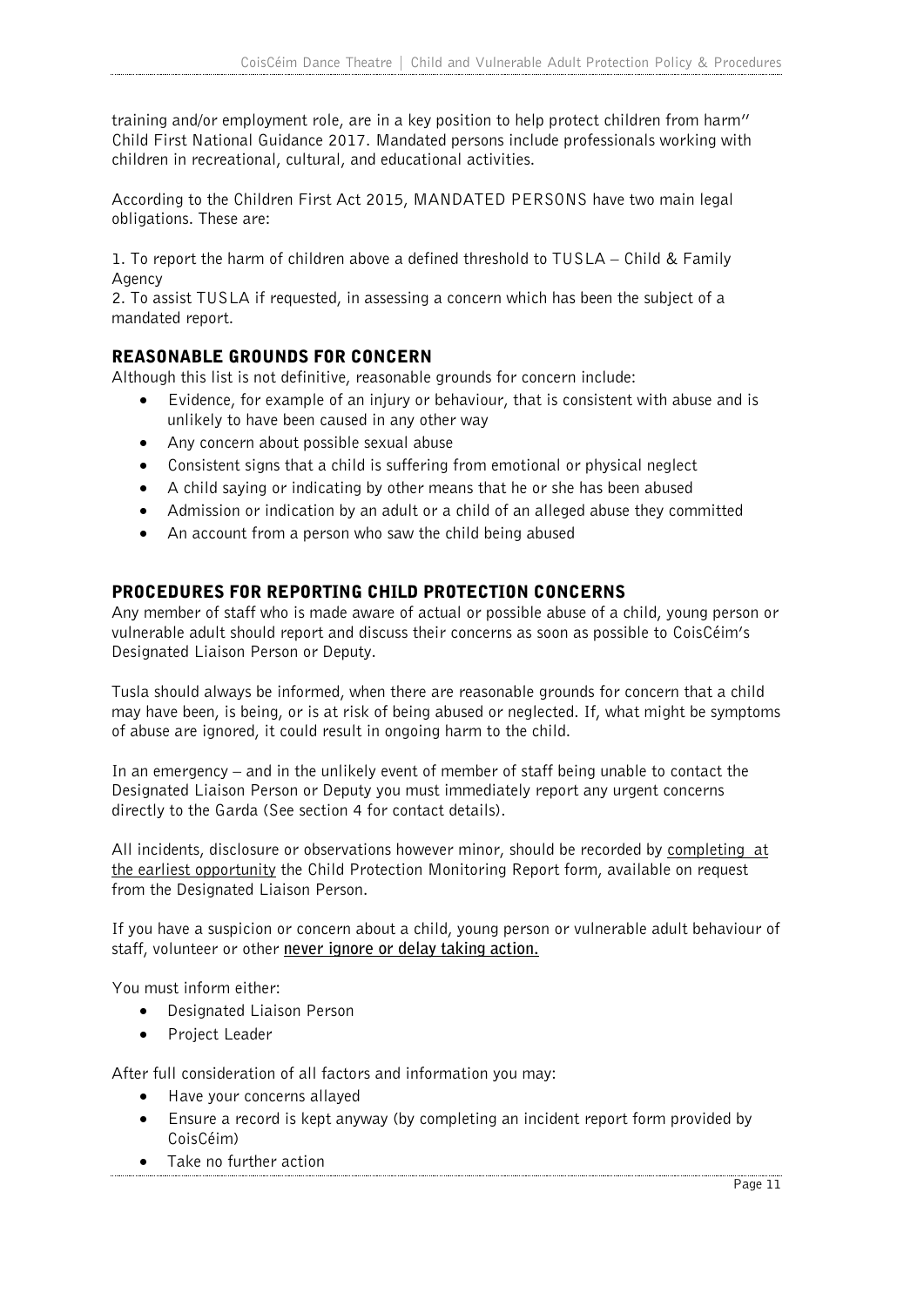training and/or employment role, are in a key position to help protect children from harm" Child First National Guidance 2017. Mandated persons include professionals working with children in recreational, cultural, and educational activities.

According to the Children First Act 2015, MANDATED PERSONS have two main legal obligations. These are:

1. To report the harm of children above a defined threshold to TUSLA – Child & Family Agency

2. To assist TUSLA if requested, in assessing a concern which has been the subject of a mandated report.

#### REASONABLE GROUNDS FOR CONCERN

Although this list is not definitive, reasonable grounds for concern include:

- Evidence, for example of an injury or behaviour, that is consistent with abuse and is unlikely to have been caused in any other way
- Any concern about possible sexual abuse
- Consistent signs that a child is suffering from emotional or physical neglect
- A child saying or indicating by other means that he or she has been abused
- Admission or indication by an adult or a child of an alleged abuse they committed
- An account from a person who saw the child being abused

#### PROCEDURES FOR REPORTING CHILD PROTECTION CONCERNS

Any member of staff who is made aware of actual or possible abuse of a child, young person or vulnerable adult should report and discuss their concerns as soon as possible to CoisCéim's Designated Liaison Person or Deputy.

Tusla should always be informed, when there are reasonable grounds for concern that a child may have been, is being, or is at risk of being abused or neglected. If, what might be symptoms of abuse are ignored, it could result in ongoing harm to the child.

In an emergency – and in the unlikely event of member of staff being unable to contact the Designated Liaison Person or Deputy you must immediately report any urgent concerns directly to the Garda (See section 4 for contact details).

All incidents, disclosure or observations however minor, should be recorded by completing at the earliest opportunity the Child Protection Monitoring Report form, available on request from the Designated Liaison Person.

If you have a suspicion or concern about a child, young person or vulnerable adult behaviour of staff, volunteer or other **never ignore or delay taking action.**

You must inform either:

- Designated Liaison Person
- Project Leader

After full consideration of all factors and information you may:

- Have your concerns allayed
- Ensure a record is kept anyway (by completing an incident report form provided by CoisCéim)
- Take no further action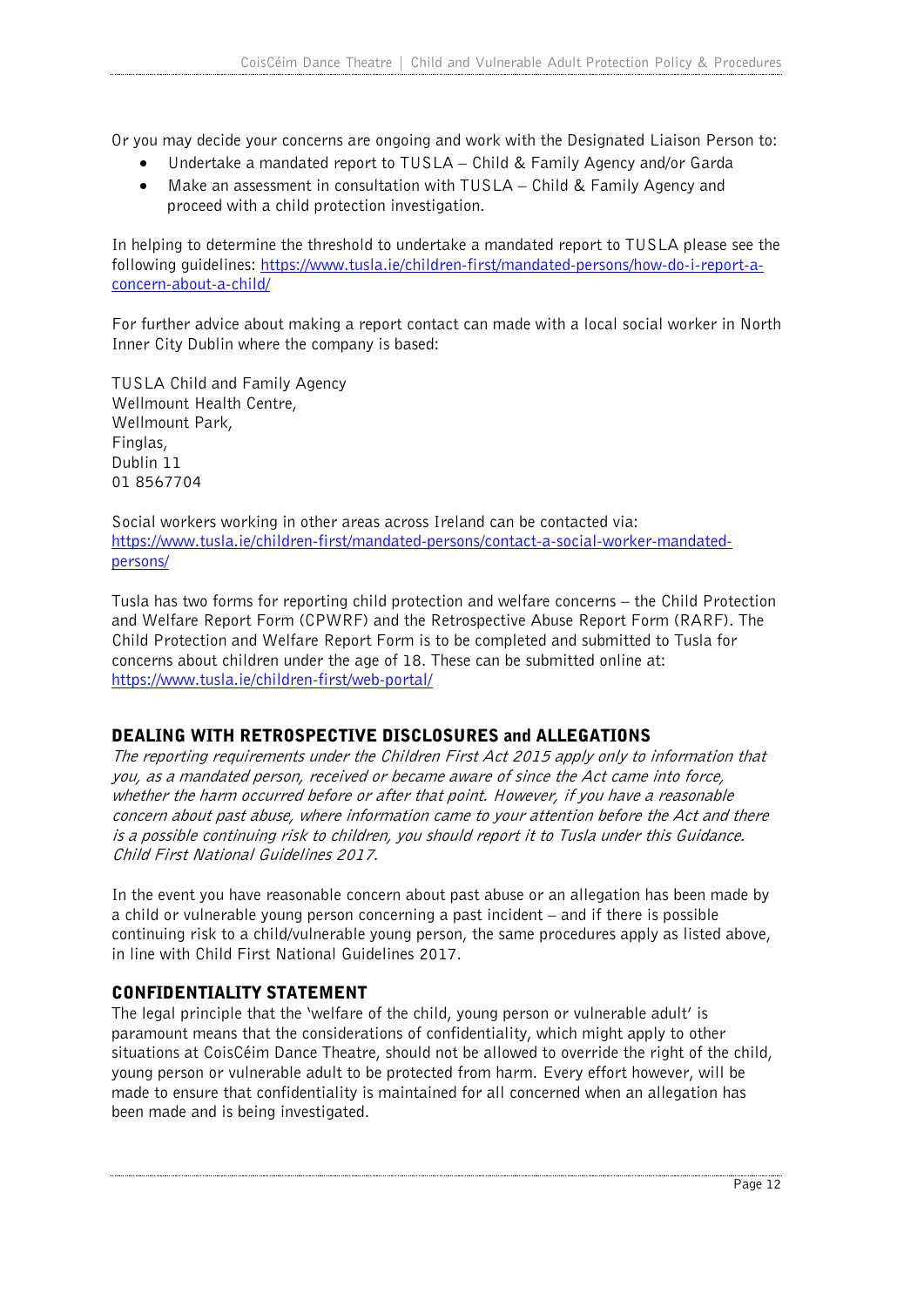Or you may decide your concerns are ongoing and work with the Designated Liaison Person to:

- Undertake a mandated report to TUSLA Child & Family Agency and/or Garda
- Make an assessment in consultation with TUSLA Child & Family Agency and proceed with a child protection investigation.

In helping to determine the threshold to undertake a mandated report to TUSLA please see the following guidelines: https://www.tusla.ie/children-first/mandated-persons/how-do-i-report-aconcern-about-a-child/

For further advice about making a report contact can made with a local social worker in North Inner City Dublin where the company is based:

TUSLA Child and Family Agency Wellmount Health Centre, Wellmount Park, Finglas, Dublin 11 01 8567704

Social workers working in other areas across Ireland can be contacted via: https://www.tusla.ie/children-first/mandated-persons/contact-a-social-worker-mandatedpersons/

Tusla has two forms for reporting child protection and welfare concerns – the Child Protection and Welfare Report Form (CPWRF) and the Retrospective Abuse Report Form (RARF). The Child Protection and Welfare Report Form is to be completed and submitted to Tusla for concerns about children under the age of 18. These can be submitted online at: https://www.tusla.ie/children-first/web-portal/

#### DEALING WITH RETROSPECTIVE DISCLOSURES and ALLEGATIONS

The reporting requirements under the Children First Act 2015 apply only to information that you, as a mandated person, received or became aware of since the Act came into force, whether the harm occurred before or after that point. However, if you have a reasonable concern about past abuse, where information came to your attention before the Act and there is a possible continuing risk to children, you should report it to Tusla under this Guidance. Child First National Guidelines 2017.

In the event you have reasonable concern about past abuse or an allegation has been made by a child or vulnerable young person concerning a past incident – and if there is possible continuing risk to a child/vulnerable young person, the same procedures apply as listed above, in line with Child First National Guidelines 2017.

#### CONFIDENTIALITY STATEMENT

The legal principle that the 'welfare of the child, young person or vulnerable adult' is paramount means that the considerations of confidentiality, which might apply to other situations at CoisCéim Dance Theatre, should not be allowed to override the right of the child, young person or vulnerable adult to be protected from harm. Every effort however, will be made to ensure that confidentiality is maintained for all concerned when an allegation has been made and is being investigated.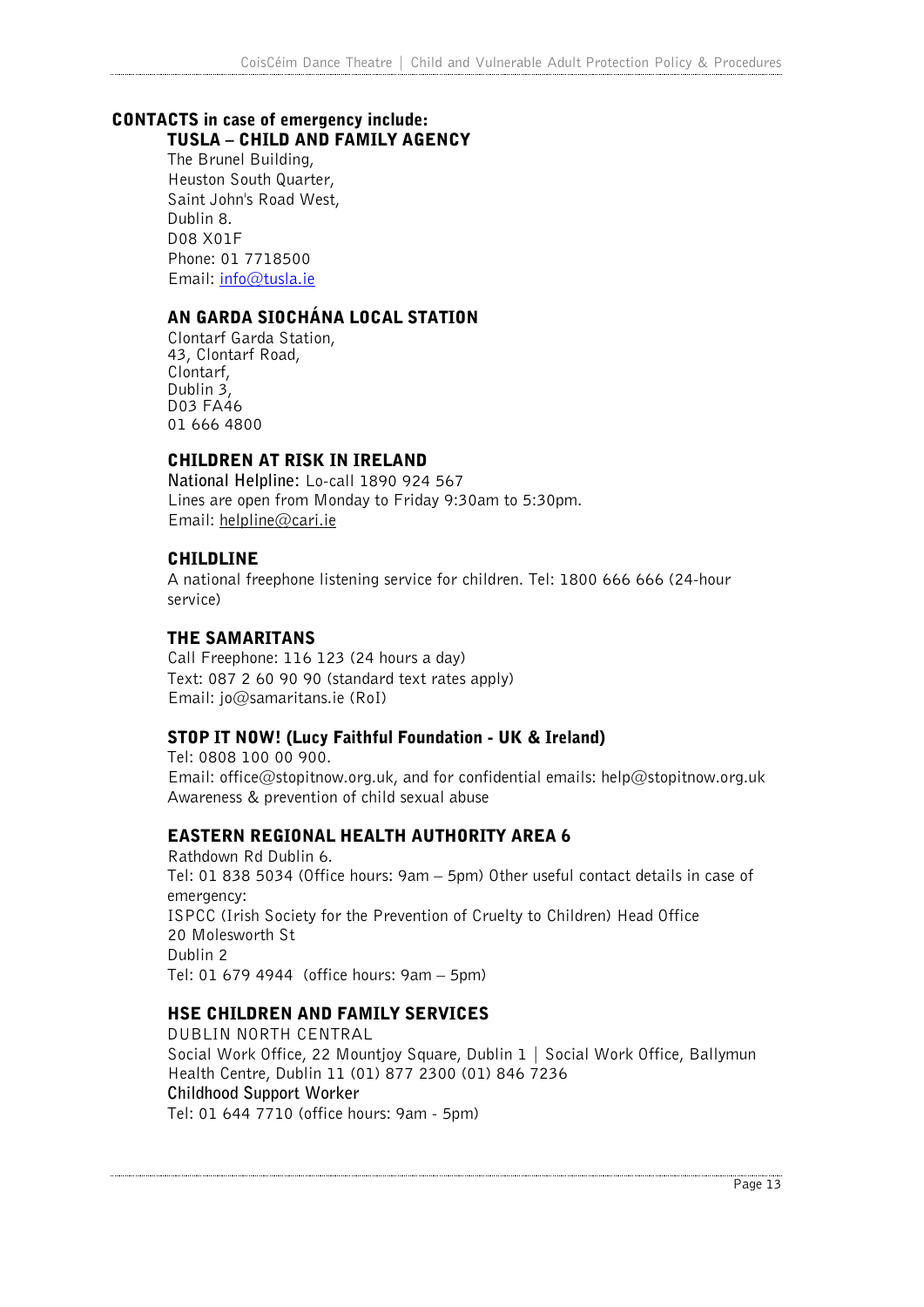#### CONTACTS in case of emergency include: TUSLA – CHILD AND FAMILY AGENCY

The Brunel Building, Heuston South Quarter, Saint John's Road West, Dublin 8. D08 X01F Phone: 01 7718500 Email: info@tusla.ie

#### AN GARDA SIOCHÁNA LOCAL STATION

Clontarf Garda Station, 43, Clontarf Road, Clontarf, Dublin 3, D03 FA46 01 666 4800

#### CHILDREN AT RISK IN IRELAND

**National Helpline:** Lo-call 1890 924 567 Lines are open from Monday to Friday 9:30am to 5:30pm. Email: helpline@cari.ie

#### CHILDLINE

A national freephone listening service for children. Tel: 1800 666 666 (24-hour service)

#### THE SAMARITANS

Call Freephone: 116 123 (24 hours a day) Text: 087 2 60 90 90 (standard text rates apply) Email: jo@samaritans.ie (RoI)

#### STOP IT NOW! (Lucy Faithful Foundation - UK & Ireland)

Tel: 0808 100 00 900. Email: office@stopitnow.org.uk, and for confidential emails: help@stopitnow.org.uk Awareness & prevention of child sexual abuse

#### EASTERN REGIONAL HEALTH AUTHORITY AREA 6

Rathdown Rd Dublin 6. Tel: 01 838 5034 (Office hours: 9am – 5pm) Other useful contact details in case of emergency: ISPCC (Irish Society for the Prevention of Cruelty to Children) Head Office 20 Molesworth St Dublin 2 Tel: 01 679 4944 (office hours: 9am – 5pm)

#### HSE CHILDREN AND FAMILY SERVICES

DUBLIN NORTH CENTRAL Social Work Office, 22 Mountjoy Square, Dublin 1 | Social Work Office, Ballymun Health Centre, Dublin 11 (01) 877 2300 (01) 846 7236 **Childhood Support Worker** Tel: 01 644 7710 (office hours: 9am - 5pm)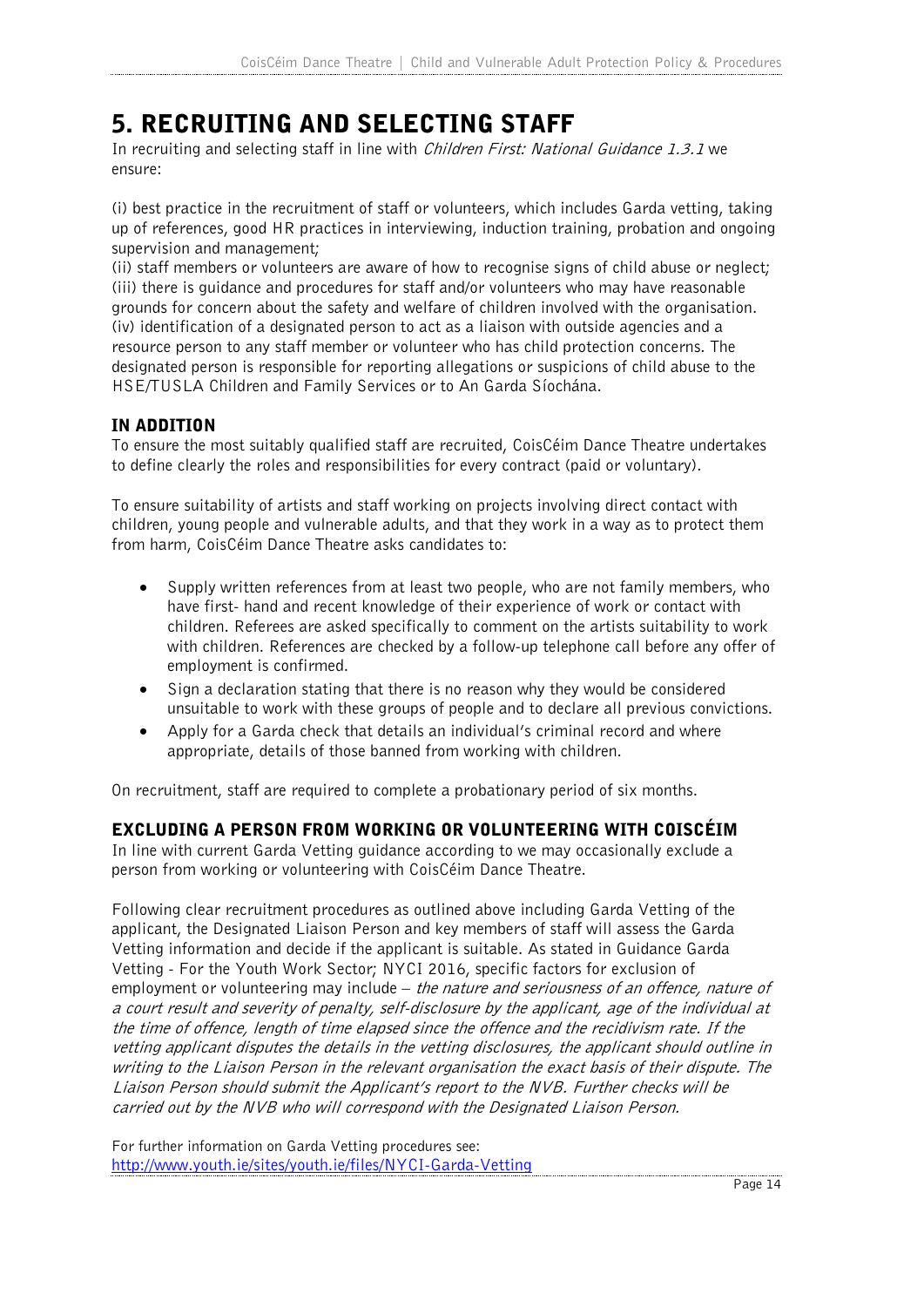### 5. RECRUITING AND SELECTING STAFF

In recruiting and selecting staff in line with *Children First: National Guidance 1.3.1* we ensure:

(i) best practice in the recruitment of staff or volunteers, which includes Garda vetting, taking up of references, good HR practices in interviewing, induction training, probation and ongoing supervision and management;

(ii) staff members or volunteers are aware of how to recognise signs of child abuse or neglect; (iii) there is guidance and procedures for staff and/or volunteers who may have reasonable grounds for concern about the safety and welfare of children involved with the organisation. (iv) identification of a designated person to act as a liaison with outside agencies and a resource person to any staff member or volunteer who has child protection concerns. The designated person is responsible for reporting allegations or suspicions of child abuse to the HSE/TUSLA Children and Family Services or to An Garda Síochána.

#### IN ADDITION

To ensure the most suitably qualified staff are recruited, CoisCéim Dance Theatre undertakes to define clearly the roles and responsibilities for every contract (paid or voluntary).

To ensure suitability of artists and staff working on projects involving direct contact with children, young people and vulnerable adults, and that they work in a way as to protect them from harm, CoisCéim Dance Theatre asks candidates to:

- Supply written references from at least two people, who are not family members, who have first- hand and recent knowledge of their experience of work or contact with children. Referees are asked specifically to comment on the artists suitability to work with children. References are checked by a follow-up telephone call before any offer of employment is confirmed.
- Sign a declaration stating that there is no reason why they would be considered unsuitable to work with these groups of people and to declare all previous convictions.
- Apply for a Garda check that details an individual's criminal record and where appropriate, details of those banned from working with children.

On recruitment, staff are required to complete a probationary period of six months.

#### EXCLUDING A PERSON FROM WORKING OR VOLUNTEERING WITH COISCÉIM

In line with current Garda Vetting guidance according to we may occasionally exclude a person from working or volunteering with CoisCéim Dance Theatre.

Following clear recruitment procedures as outlined above including Garda Vetting of the applicant, the Designated Liaison Person and key members of staff will assess the Garda Vetting information and decide if the applicant is suitable. As stated in Guidance Garda Vetting - For the Youth Work Sector; NYCI 2016, specific factors for exclusion of employment or volunteering may include – the nature and seriousness of an offence, nature of a court result and severity of penalty, self-disclosure by the applicant, age of the individual at the time of offence, length of time elapsed since the offence and the recidivism rate. If the vetting applicant disputes the details in the vetting disclosures, the applicant should outline in writing to the Liaison Person in the relevant organisation the exact basis of their dispute. The Liaison Person should submit the Applicant's report to the NVB. Further checks will be carried out by the NVB who will correspond with the Designated Liaison Person.

For further information on Garda Vetting procedures see: http://www.youth.ie/sites/youth.ie/files/NYCI-Garda-Vetting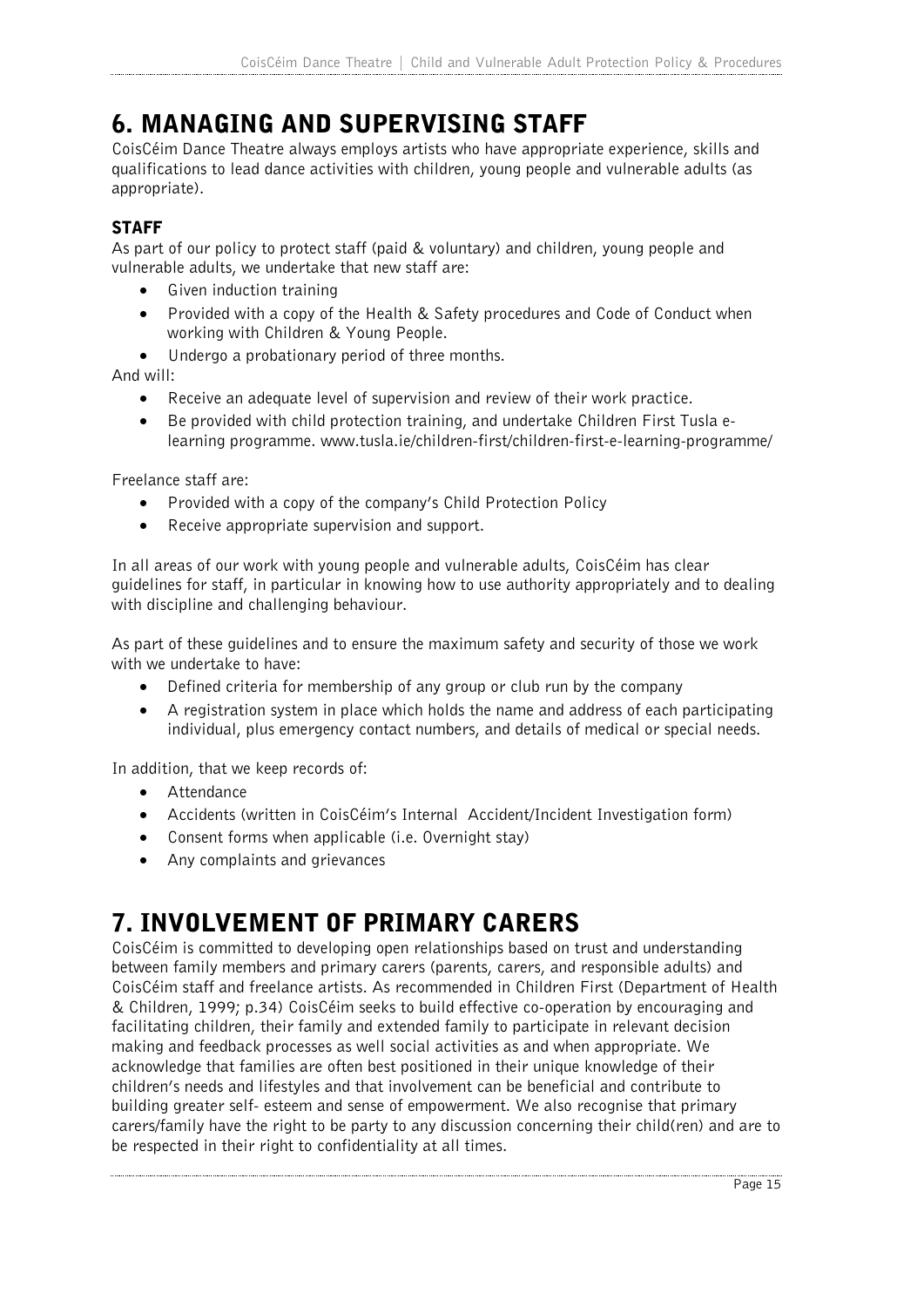### 6. MANAGING AND SUPERVISING STAFF

CoisCéim Dance Theatre always employs artists who have appropriate experience, skills and qualifications to lead dance activities with children, young people and vulnerable adults (as appropriate).

#### **STAFF**

As part of our policy to protect staff (paid & voluntary) and children, young people and vulnerable adults, we undertake that new staff are:

- Given induction training
- Provided with a copy of the Health & Safety procedures and Code of Conduct when working with Children & Young People.
- Undergo a probationary period of three months.

And will:

- Receive an adequate level of supervision and review of their work practice.
- Be provided with child protection training, and undertake Children First Tusla elearning programme. www.tusla.ie/children-first/children-first-e-learning-programme/

Freelance staff are:

- Provided with a copy of the company's Child Protection Policy
- Receive appropriate supervision and support.

In all areas of our work with young people and vulnerable adults, CoisCéim has clear guidelines for staff, in particular in knowing how to use authority appropriately and to dealing with discipline and challenging behaviour.

As part of these guidelines and to ensure the maximum safety and security of those we work with we undertake to have:

- Defined criteria for membership of any group or club run by the company
- A registration system in place which holds the name and address of each participating individual, plus emergency contact numbers, and details of medical or special needs.

In addition, that we keep records of:

- Attendance
- Accidents (written in CoisCéim's Internal Accident/Incident Investigation form)
- Consent forms when applicable (i.e. Overnight stay)
- Any complaints and grievances

### 7. INVOLVEMENT OF PRIMARY CARERS

CoisCéim is committed to developing open relationships based on trust and understanding between family members and primary carers (parents, carers, and responsible adults) and CoisCéim staff and freelance artists. As recommended in Children First (Department of Health & Children, 1999; p.34) CoisCéim seeks to build effective co-operation by encouraging and facilitating children, their family and extended family to participate in relevant decision making and feedback processes as well social activities as and when appropriate. We acknowledge that families are often best positioned in their unique knowledge of their children's needs and lifestyles and that involvement can be beneficial and contribute to building greater self- esteem and sense of empowerment. We also recognise that primary carers/family have the right to be party to any discussion concerning their child(ren) and are to be respected in their right to confidentiality at all times.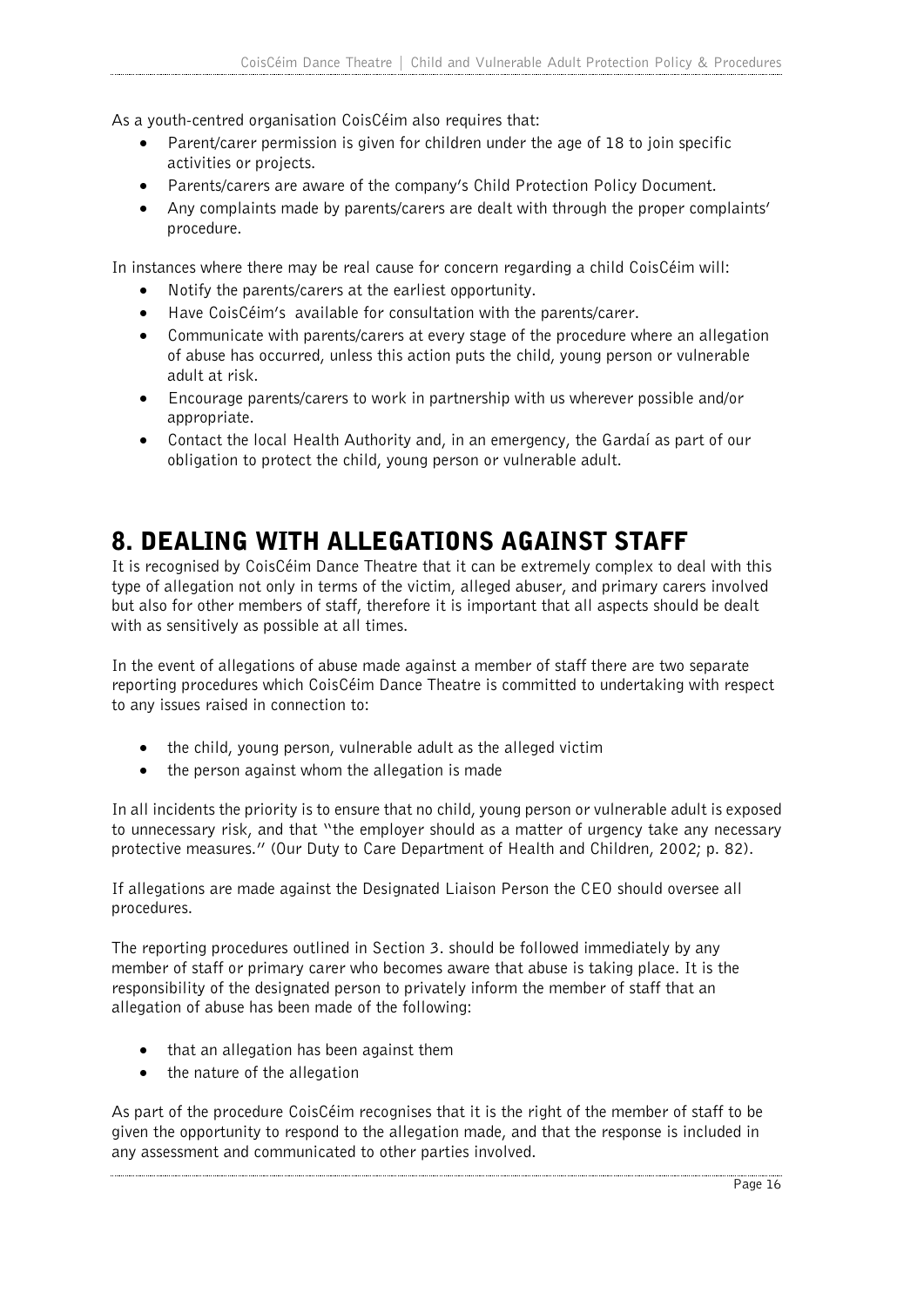As a youth-centred organisation CoisCéim also requires that:

- Parent/carer permission is given for children under the age of 18 to join specific activities or projects.
- Parents/carers are aware of the company's Child Protection Policy Document.
- Any complaints made by parents/carers are dealt with through the proper complaints' procedure.

In instances where there may be real cause for concern regarding a child CoisCéim will:

- Notify the parents/carers at the earliest opportunity.
- Have CoisCéim's available for consultation with the parents/carer.
- Communicate with parents/carers at every stage of the procedure where an allegation of abuse has occurred, unless this action puts the child, young person or vulnerable adult at risk.
- Encourage parents/carers to work in partnership with us wherever possible and/or appropriate.
- Contact the local Health Authority and, in an emergency, the Gardaí as part of our obligation to protect the child, young person or vulnerable adult.

### 8. DEALING WITH ALLEGATIONS AGAINST STAFF

It is recognised by CoisCéim Dance Theatre that it can be extremely complex to deal with this type of allegation not only in terms of the victim, alleged abuser, and primary carers involved but also for other members of staff, therefore it is important that all aspects should be dealt with as sensitively as possible at all times.

In the event of allegations of abuse made against a member of staff there are two separate reporting procedures which CoisCéim Dance Theatre is committed to undertaking with respect to any issues raised in connection to:

- the child, young person, vulnerable adult as the alleged victim
- the person against whom the allegation is made

In all incidents the priority is to ensure that no child, young person or vulnerable adult is exposed to unnecessary risk, and that "the employer should as a matter of urgency take any necessary protective measures." (Our Duty to Care Department of Health and Children, 2002; p. 82).

If allegations are made against the Designated Liaison Person the CEO should oversee all procedures.

The reporting procedures outlined in Section 3. should be followed immediately by any member of staff or primary carer who becomes aware that abuse is taking place. It is the responsibility of the designated person to privately inform the member of staff that an allegation of abuse has been made of the following:

- that an allegation has been against them
- the nature of the allegation

As part of the procedure CoisCéim recognises that it is the right of the member of staff to be given the opportunity to respond to the allegation made, and that the response is included in any assessment and communicated to other parties involved.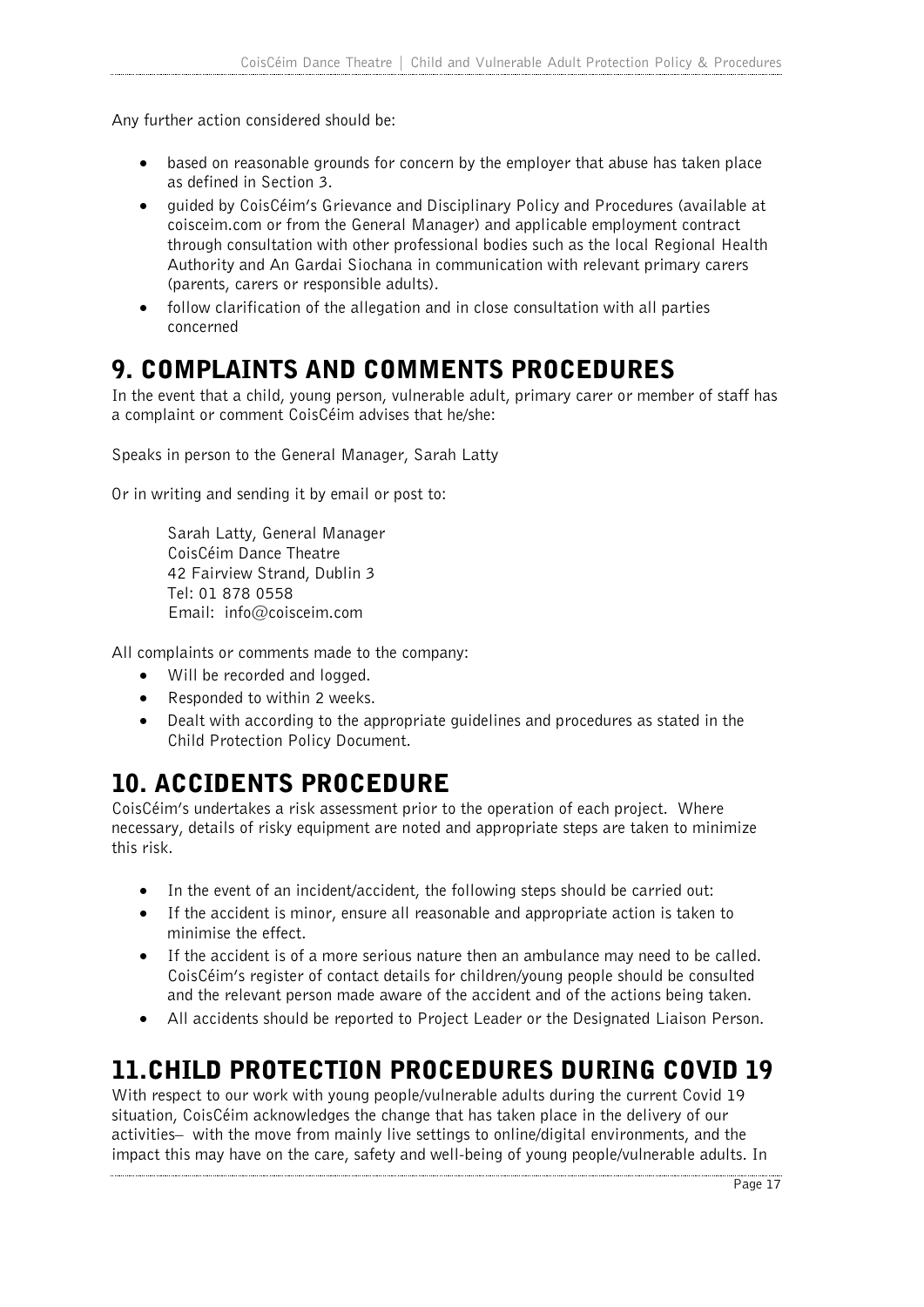Any further action considered should be:

- based on reasonable grounds for concern by the employer that abuse has taken place as defined in Section 3.
- guided by CoisCéim's Grievance and Disciplinary Policy and Procedures (available at coisceim.com or from the General Manager) and applicable employment contract through consultation with other professional bodies such as the local Regional Health Authority and An Gardai Siochana in communication with relevant primary carers (parents, carers or responsible adults).
- follow clarification of the allegation and in close consultation with all parties concerned

### 9. COMPLAINTS AND COMMENTS PROCEDURES

In the event that a child, young person, vulnerable adult, primary carer or member of staff has a complaint or comment CoisCéim advises that he/she:

Speaks in person to the General Manager, Sarah Latty

Or in writing and sending it by email or post to:

Sarah Latty, General Manager CoisCéim Dance Theatre 42 Fairview Strand, Dublin 3 Tel: 01 878 0558 Email: info@coisceim.com

All complaints or comments made to the company:

- Will be recorded and logged.
- Responded to within 2 weeks.
- Dealt with according to the appropriate guidelines and procedures as stated in the Child Protection Policy Document.

### 10. ACCIDENTS PROCEDURE

CoisCéim's undertakes a risk assessment prior to the operation of each project. Where necessary, details of risky equipment are noted and appropriate steps are taken to minimize this risk.

- In the event of an incident/accident, the following steps should be carried out:
- If the accident is minor, ensure all reasonable and appropriate action is taken to minimise the effect.
- If the accident is of a more serious nature then an ambulance may need to be called. CoisCéim's register of contact details for children/young people should be consulted and the relevant person made aware of the accident and of the actions being taken.
- All accidents should be reported to Project Leader or the Designated Liaison Person.

### 11.CHILD PROTECTION PROCEDURES DURING COVID 19

With respect to our work with young people/vulnerable adults during the current Covid 19 situation, CoisCéim acknowledges the change that has taken place in the delivery of our activities– with the move from mainly live settings to online/digital environments, and the impact this may have on the care, safety and well-being of young people/vulnerable adults. In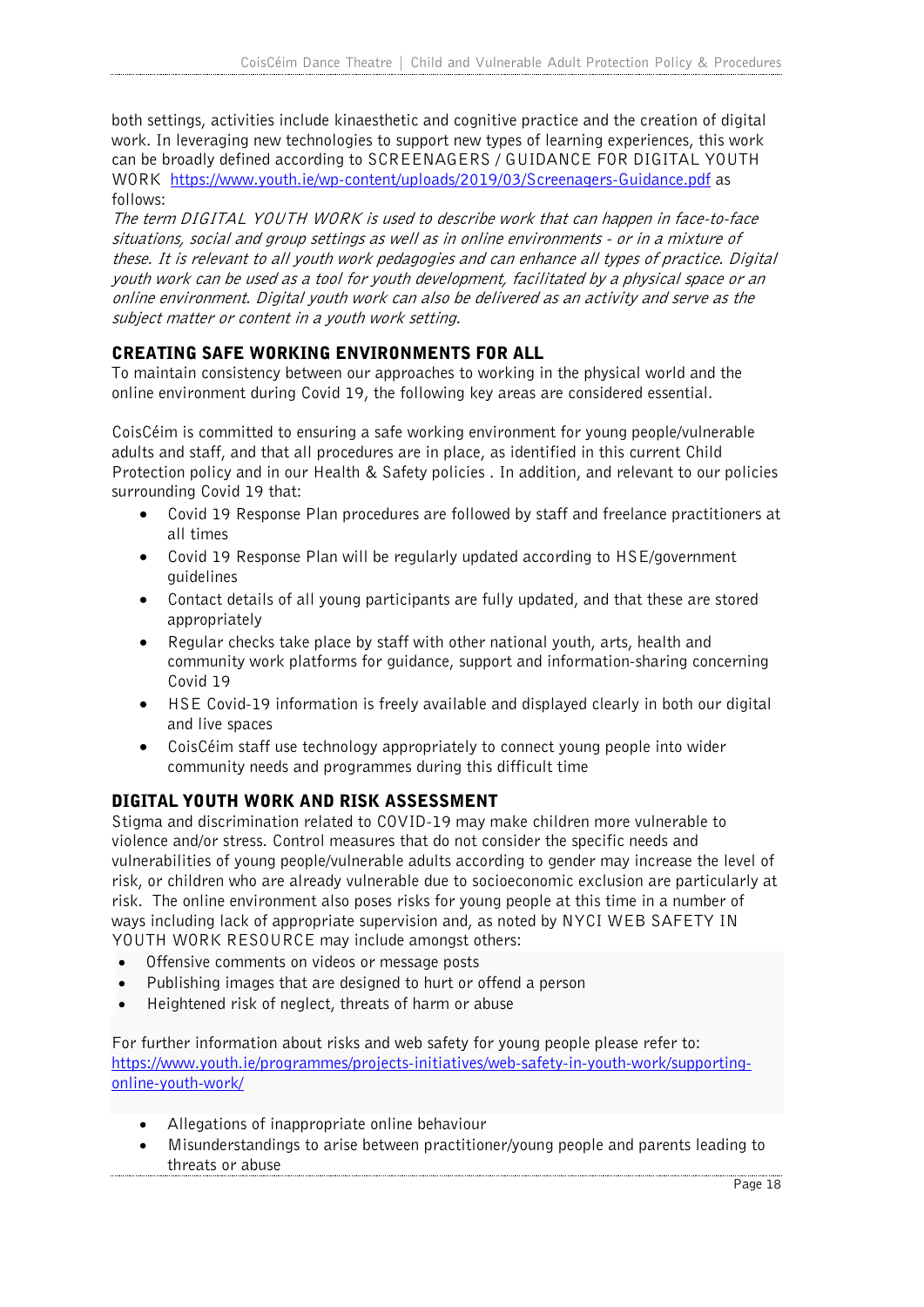both settings, activities include kinaesthetic and cognitive practice and the creation of digital work. In leveraging new technologies to support new types of learning experiences, this work can be broadly defined according to SCREENAGERS / GUIDANCE FOR DIGITAL YOUTH WORK https://www.youth.ie/wp-content/uploads/2019/03/Screenagers-Guidance.pdf as follows:

The term DIGITAL YOUTH WORK is used to describe work that can happen in face-to-face situations, social and group settings as well as in online environments - or in a mixture of these. It is relevant to all youth work pedagogies and can enhance all types of practice. Digital youth work can be used as a tool for youth development, facilitated by a physical space or an online environment. Digital youth work can also be delivered as an activity and serve as the subject matter or content in a youth work setting.

#### CREATING SAFE WORKING ENVIRONMENTS FOR ALL

To maintain consistency between our approaches to working in the physical world and the online environment during Covid 19, the following key areas are considered essential.

CoisCéim is committed to ensuring a safe working environment for young people/vulnerable adults and staff, and that all procedures are in place, as identified in this current Child Protection policy and in our Health & Safety policies . In addition, and relevant to our policies surrounding Covid 19 that:

- Covid 19 Response Plan procedures are followed by staff and freelance practitioners at all times
- Covid 19 Response Plan will be regularly updated according to HSE/government guidelines
- Contact details of all young participants are fully updated, and that these are stored appropriately
- Regular checks take place by staff with other national youth, arts, health and community work platforms for guidance, support and information-sharing concerning Covid 19
- HSE Covid-19 information is freely available and displayed clearly in both our digital and live spaces
- CoisCéim staff use technology appropriately to connect young people into wider community needs and programmes during this difficult time

#### DIGITAL YOUTH WORK AND RISK ASSESSMENT

Stigma and discrimination related to COVID-19 may make children more vulnerable to violence and/or stress. Control measures that do not consider the specific needs and vulnerabilities of young people/vulnerable adults according to gender may increase the level of risk, or children who are already vulnerable due to socioeconomic exclusion are particularly at risk. The online environment also poses risks for young people at this time in a number of ways including lack of appropriate supervision and, as noted by NYCI WEB SAFETY IN YOUTH WORK RESOURCE may include amongst others:

- Offensive comments on videos or message posts
- Publishing images that are designed to hurt or offend a person
- Heightened risk of neglect, threats of harm or abuse

For further information about risks and web safety for young people please refer to: https://www.youth.ie/programmes/projects-initiatives/web-safety-in-youth-work/supportingonline-youth-work/

- Allegations of inappropriate online behaviour
- Misunderstandings to arise between practitioner/young people and parents leading to threats or abuse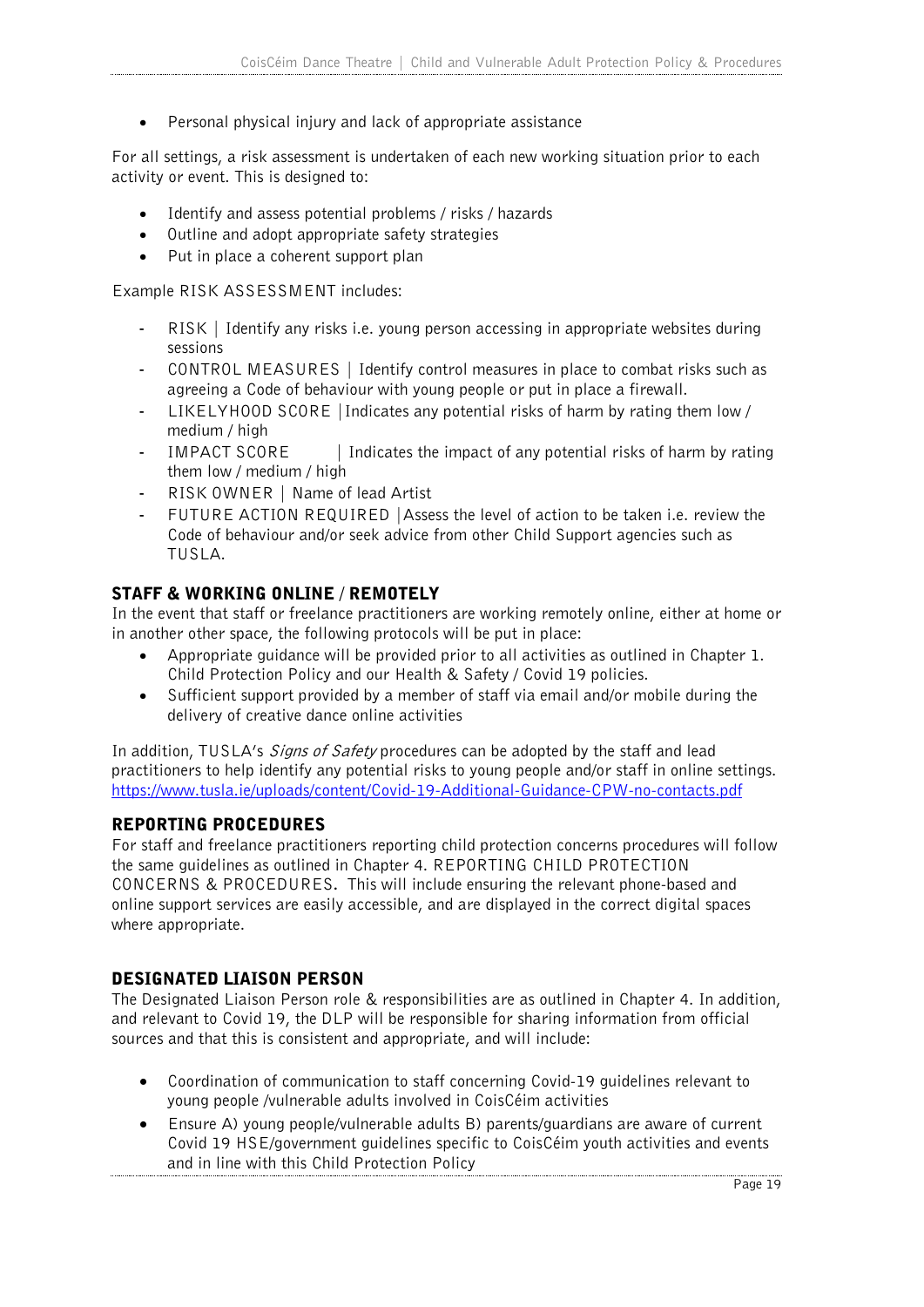• Personal physical injury and lack of appropriate assistance

For all settings, a risk assessment is undertaken of each new working situation prior to each activity or event. This is designed to:

- Identify and assess potential problems / risks / hazards
- Outline and adopt appropriate safety strategies
- Put in place a coherent support plan

Example RISK ASSESSMENT includes:

- RISK | Identify any risks i.e. young person accessing in appropriate websites during sessions
- CONTROL MEASURES | Identify control measures in place to combat risks such as agreeing a Code of behaviour with young people or put in place a firewall.
- LIKELYHOOD SCORE |Indicates any potential risks of harm by rating them low / medium / high
- IMPACT SCORE | Indicates the impact of any potential risks of harm by rating them low / medium / high
- RISK OWNER | Name of lead Artist
- FUTURE ACTION REQUIRED | Assess the level of action to be taken i.e. review the Code of behaviour and/or seek advice from other Child Support agencies such as TUSLA.

#### STAFF & WORKING ONLINE / REMOTELY

In the event that staff or freelance practitioners are working remotely online, either at home or in another other space, the following protocols will be put in place:

- Appropriate guidance will be provided prior to all activities as outlined in Chapter 1. Child Protection Policy and our Health & Safety / Covid 19 policies.
- Sufficient support provided by a member of staff via email and/or mobile during the delivery of creative dance online activities

In addition, TUSLA's *Signs of Safety* procedures can be adopted by the staff and lead practitioners to help identify any potential risks to young people and/or staff in online settings. https://www.tusla.ie/uploads/content/Covid-19-Additional-Guidance-CPW-no-contacts.pdf

#### REPORTING PROCEDURES

For staff and freelance practitioners reporting child protection concerns procedures will follow the same guidelines as outlined in Chapter 4. REPORTING CHILD PROTECTION CONCERNS & PROCEDURES**.** This will include ensuring the relevant phone-based and online support services are easily accessible, and are displayed in the correct digital spaces where appropriate.

#### DESIGNATED LIAISON PERSON

The Designated Liaison Person role & responsibilities are as outlined in Chapter 4. In addition, and relevant to Covid 19, the DLP will be responsible for sharing information from official sources and that this is consistent and appropriate, and will include:

- Coordination of communication to staff concerning Covid-19 guidelines relevant to young people /vulnerable adults involved in CoisCéim activities
- Ensure A) young people/vulnerable adults B) parents/guardians are aware of current Covid 19 HSE/government guidelines specific to CoisCéim youth activities and events and in line with this Child Protection Policy